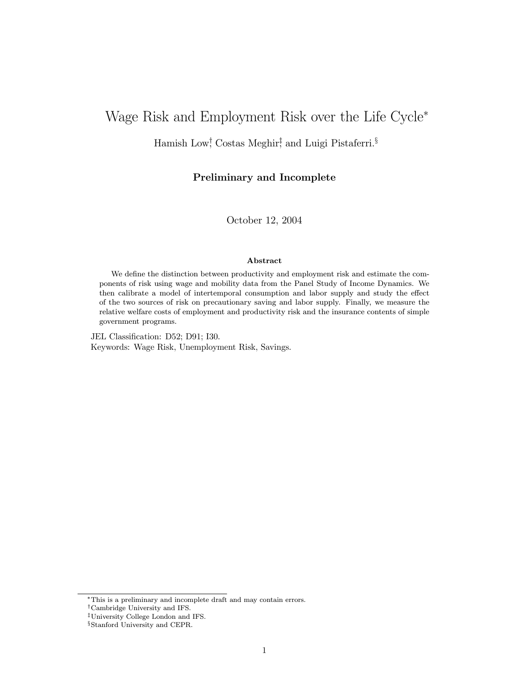# Wage Risk and Employment Risk over the Life Cycle<sup>∗</sup>

Hamish Low† , Costas Meghir‡ , and Luigi Pistaferri.§

### Preliminary and Incomplete

October 12, 2004

#### Abstract

We define the distinction between productivity and employment risk and estimate the components of risk using wage and mobility data from the Panel Study of Income Dynamics. We then calibrate a model of intertemporal consumption and labor supply and study the effect of the two sources of risk on precautionary saving and labor supply. Finally, we measure the relative welfare costs of employment and productivity risk and the insurance contents of simple government programs.

JEL Classification: D52; D91; I30. Keywords: Wage Risk, Unemployment Risk, Savings.

<sup>∗</sup>This is a preliminary and incomplete draft and may contain errors.

<sup>†</sup>Cambridge University and IFS.

<sup>‡</sup>University College London and IFS.

<sup>§</sup>Stanford University and CEPR.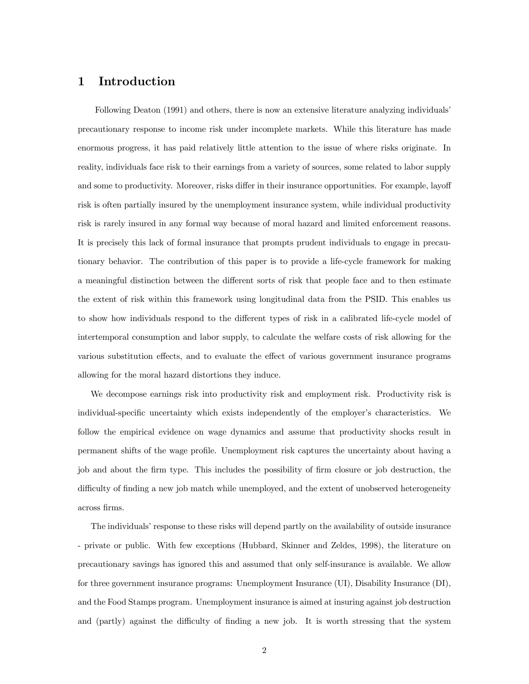### 1 Introduction

Following Deaton (1991) and others, there is now an extensive literature analyzing individuals' precautionary response to income risk under incomplete markets. While this literature has made enormous progress, it has paid relatively little attention to the issue of where risks originate. In reality, individuals face risk to their earnings from a variety of sources, some related to labor supply and some to productivity. Moreover, risks differ in their insurance opportunities. For example, layoff risk is often partially insured by the unemployment insurance system, while individual productivity risk is rarely insured in any formal way because of moral hazard and limited enforcement reasons. It is precisely this lack of formal insurance that prompts prudent individuals to engage in precautionary behavior. The contribution of this paper is to provide a life-cycle framework for making a meaningful distinction between the different sorts of risk that people face and to then estimate the extent of risk within this framework using longitudinal data from the PSID. This enables us to show how individuals respond to the different types of risk in a calibrated life-cycle model of intertemporal consumption and labor supply, to calculate the welfare costs of risk allowing for the various substitution effects, and to evaluate the effect of various government insurance programs allowing for the moral hazard distortions they induce.

We decompose earnings risk into productivity risk and employment risk. Productivity risk is individual-specific uncertainty which exists independently of the employer's characteristics. We follow the empirical evidence on wage dynamics and assume that productivity shocks result in permanent shifts of the wage profile. Unemployment risk captures the uncertainty about having a job and about the firm type. This includes the possibility of firm closure or job destruction, the difficulty of finding a new job match while unemployed, and the extent of unobserved heterogeneity across firms.

The individuals' response to these risks will depend partly on the availability of outside insurance - private or public. With few exceptions (Hubbard, Skinner and Zeldes, 1998), the literature on precautionary savings has ignored this and assumed that only self-insurance is available. We allow for three government insurance programs: Unemployment Insurance (UI), Disability Insurance (DI), and the Food Stamps program. Unemployment insurance is aimed at insuring against job destruction and (partly) against the difficulty of finding a new job. It is worth stressing that the system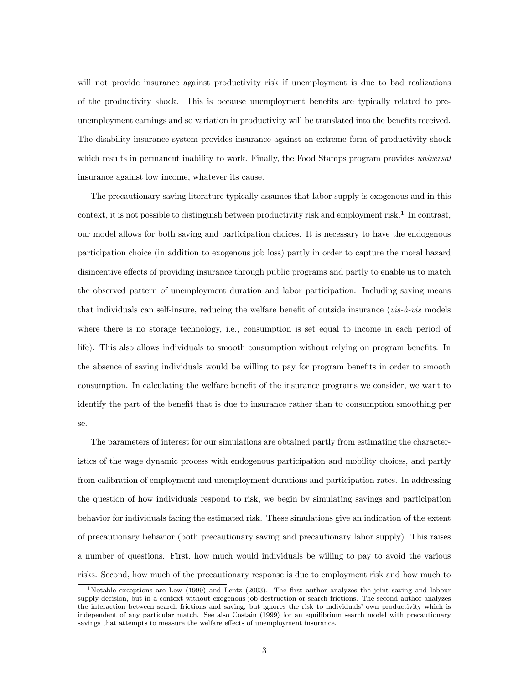will not provide insurance against productivity risk if unemployment is due to bad realizations of the productivity shock. This is because unemployment benefits are typically related to preunemployment earnings and so variation in productivity will be translated into the benefits received. The disability insurance system provides insurance against an extreme form of productivity shock which results in permanent inability to work. Finally, the Food Stamps program provides *universal* insurance against low income, whatever its cause.

The precautionary saving literature typically assumes that labor supply is exogenous and in this context, it is not possible to distinguish between productivity risk and employment risk.<sup>1</sup> In contrast, our model allows for both saving and participation choices. It is necessary to have the endogenous participation choice (in addition to exogenous job loss) partly in order to capture the moral hazard disincentive effects of providing insurance through public programs and partly to enable us to match the observed pattern of unemployment duration and labor participation. Including saving means that individuals can self-insure, reducing the welfare benefit of outside insurance ( $vis-\hat{a}-vis$  models where there is no storage technology, i.e., consumption is set equal to income in each period of life). This also allows individuals to smooth consumption without relying on program benefits. In the absence of saving individuals would be willing to pay for program benefits in order to smooth consumption. In calculating the welfare benefit of the insurance programs we consider, we want to identify the part of the benefit that is due to insurance rather than to consumption smoothing per se.

The parameters of interest for our simulations are obtained partly from estimating the characteristics of the wage dynamic process with endogenous participation and mobility choices, and partly from calibration of employment and unemployment durations and participation rates. In addressing the question of how individuals respond to risk, we begin by simulating savings and participation behavior for individuals facing the estimated risk. These simulations give an indication of the extent of precautionary behavior (both precautionary saving and precautionary labor supply). This raises a number of questions. First, how much would individuals be willing to pay to avoid the various risks. Second, how much of the precautionary response is due to employment risk and how much to

<sup>&</sup>lt;sup>1</sup>Notable exceptions are Low (1999) and Lentz (2003). The first author analyzes the joint saving and labour supply decision, but in a context without exogenous job destruction or search frictions. The second author analyzes the interaction between search frictions and saving, but ignores the risk to individuals' own productivity which is independent of any particular match. See also Costain (1999) for an equilibrium search model with precautionary savings that attempts to measure the welfare effects of unemployment insurance.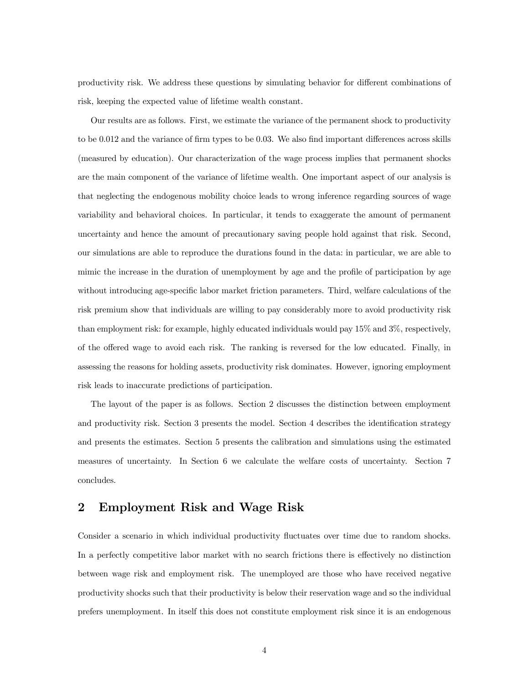productivity risk. We address these questions by simulating behavior for different combinations of risk, keeping the expected value of lifetime wealth constant.

Our results are as follows. First, we estimate the variance of the permanent shock to productivity to be 0.012 and the variance of firm types to be 0.03. We also find important differences across skills (measured by education). Our characterization of the wage process implies that permanent shocks are the main component of the variance of lifetime wealth. One important aspect of our analysis is that neglecting the endogenous mobility choice leads to wrong inference regarding sources of wage variability and behavioral choices. In particular, it tends to exaggerate the amount of permanent uncertainty and hence the amount of precautionary saving people hold against that risk. Second, our simulations are able to reproduce the durations found in the data: in particular, we are able to mimic the increase in the duration of unemployment by age and the profile of participation by age without introducing age-specific labor market friction parameters. Third, welfare calculations of the risk premium show that individuals are willing to pay considerably more to avoid productivity risk than employment risk: for example, highly educated individuals would pay 15% and 3%, respectively, of the offered wage to avoid each risk. The ranking is reversed for the low educated. Finally, in assessing the reasons for holding assets, productivity risk dominates. However, ignoring employment risk leads to inaccurate predictions of participation.

The layout of the paper is as follows. Section 2 discusses the distinction between employment and productivity risk. Section 3 presents the model. Section 4 describes the identification strategy and presents the estimates. Section 5 presents the calibration and simulations using the estimated measures of uncertainty. In Section 6 we calculate the welfare costs of uncertainty. Section 7 concludes.

### 2 Employment Risk and Wage Risk

Consider a scenario in which individual productivity fluctuates over time due to random shocks. In a perfectly competitive labor market with no search frictions there is effectively no distinction between wage risk and employment risk. The unemployed are those who have received negative productivity shocks such that their productivity is below their reservation wage and so the individual prefers unemployment. In itself this does not constitute employment risk since it is an endogenous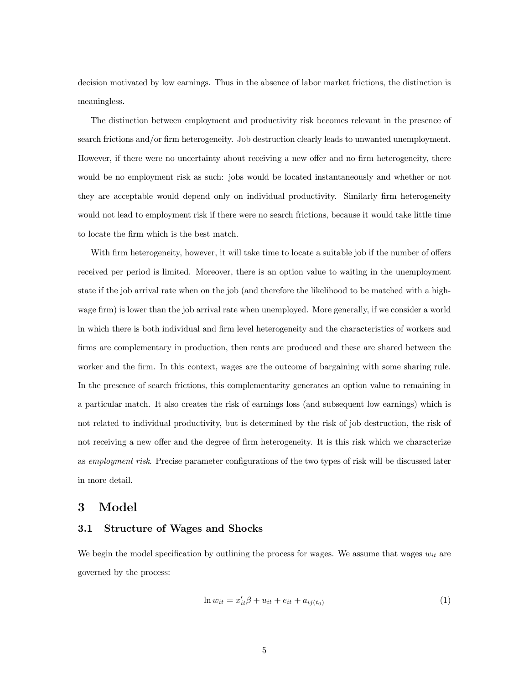decision motivated by low earnings. Thus in the absence of labor market frictions, the distinction is meaningless.

The distinction between employment and productivity risk bceomes relevant in the presence of search frictions and/or firm heterogeneity. Job destruction clearly leads to unwanted unemployment. However, if there were no uncertainty about receiving a new offer and no firm heterogeneity, there would be no employment risk as such: jobs would be located instantaneously and whether or not they are acceptable would depend only on individual productivity. Similarly firm heterogeneity would not lead to employment risk if there were no search frictions, because it would take little time to locate the firm which is the best match.

With firm heterogeneity, however, it will take time to locate a suitable job if the number of offers received per period is limited. Moreover, there is an option value to waiting in the unemployment state if the job arrival rate when on the job (and therefore the likelihood to be matched with a highwage firm) is lower than the job arrival rate when unemployed. More generally, if we consider a world in which there is both individual and firm level heterogeneity and the characteristics of workers and firms are complementary in production, then rents are produced and these are shared between the worker and the firm. In this context, wages are the outcome of bargaining with some sharing rule. In the presence of search frictions, this complementarity generates an option value to remaining in a particular match. It also creates the risk of earnings loss (and subsequent low earnings) which is not related to individual productivity, but is determined by the risk of job destruction, the risk of not receiving a new offer and the degree of firm heterogeneity. It is this risk which we characterize as employment risk. Precise parameter configurations of the two types of risk will be discussed later in more detail.

### 3 Model

### 3.1 Structure of Wages and Shocks

We begin the model specification by outlining the process for wages. We assume that wages  $w_{it}$  are governed by the process:

$$
\ln w_{it} = x_{it}'\beta + u_{it} + e_{it} + a_{ij(t_0)}
$$
\n(1)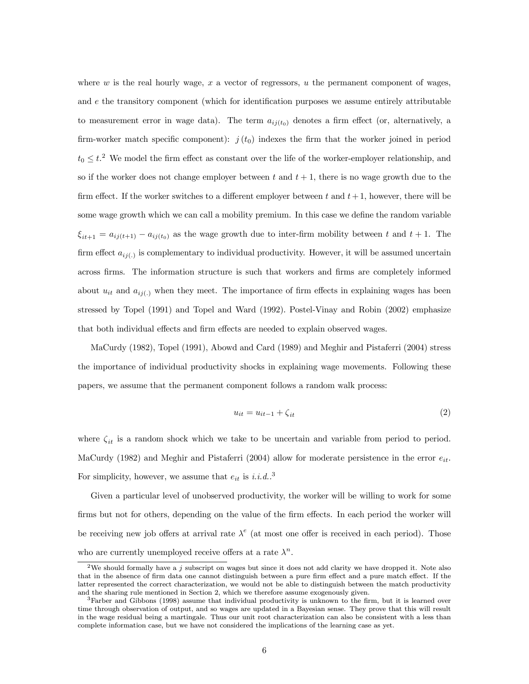where w is the real hourly wage, x a vector of regressors, u the permanent component of wages, and e the transitory component (which for identification purposes we assume entirely attributable to measurement error in wage data). The term  $a_{ij(t_0)}$  denotes a firm effect (or, alternatively, a firm-worker match specific component):  $j(t_0)$  indexes the firm that the worker joined in period  $t_0 \leq t$ <sup>2</sup>. We model the firm effect as constant over the life of the worker-employer relationship, and so if the worker does not change employer between t and  $t + 1$ , there is no wage growth due to the firm effect. If the worker switches to a different employer between t and  $t+1$ , however, there will be some wage growth which we can call a mobility premium. In this case we define the random variable  $\xi_{it+1} = a_{ij(t+1)} - a_{ij(t_0)}$  as the wage growth due to inter-firm mobility between t and  $t + 1$ . The firm effect  $a_{ij}$ ) is complementary to individual productivity. However, it will be assumed uncertain across firms. The information structure is such that workers and firms are completely informed about  $u_{it}$  and  $a_{ij}$ ) when they meet. The importance of firm effects in explaining wages has been stressed by Topel (1991) and Topel and Ward (1992). Postel-Vinay and Robin (2002) emphasize that both individual effects and firm effects are needed to explain observed wages.

MaCurdy (1982), Topel (1991), Abowd and Card (1989) and Meghir and Pistaferri (2004) stress the importance of individual productivity shocks in explaining wage movements. Following these papers, we assume that the permanent component follows a random walk process:

$$
u_{it} = u_{it-1} + \zeta_{it} \tag{2}
$$

where  $\zeta_{it}$  is a random shock which we take to be uncertain and variable from period to period. MaCurdy (1982) and Meghir and Pistaferri (2004) allow for moderate persistence in the error  $e_{it}$ . For simplicity, however, we assume that  $e_{it}$  is i.i.d..<sup>3</sup>

Given a particular level of unobserved productivity, the worker will be willing to work for some firms but not for others, depending on the value of the firm effects. In each period the worker will be receiving new job offers at arrival rate  $\lambda^e$  (at most one offer is received in each period). Those who are currently unemployed receive offers at a rate  $\lambda^n$ .

<sup>&</sup>lt;sup>2</sup>We should formally have a j subscript on wages but since it does not add clarity we have dropped it. Note also that in the absence of firm data one cannot distinguish between a pure firm effect and a pure match effect. If the latter represented the correct characterization, we would not be able to distinguish between the match productivity and the sharing rule mentioned in Section 2, which we therefore assume exogenously given.

<sup>3</sup>Farber and Gibbons (1998) assume that individual productivity is unknown to the firm, but it is learned over time through observation of output, and so wages are updated in a Bayesian sense. They prove that this will result in the wage residual being a martingale. Thus our unit root characterization can also be consistent with a less than complete information case, but we have not considered the implications of the learning case as yet.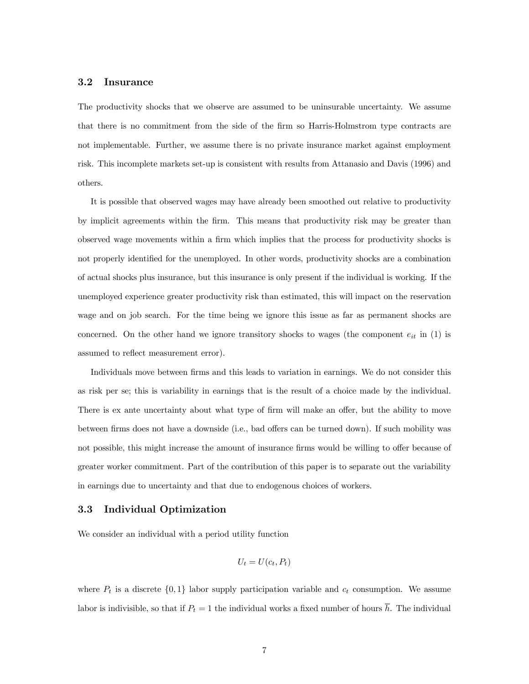#### 3.2 Insurance

The productivity shocks that we observe are assumed to be uninsurable uncertainty. We assume that there is no commitment from the side of the firm so Harris-Holmstrom type contracts are not implementable. Further, we assume there is no private insurance market against employment risk. This incomplete markets set-up is consistent with results from Attanasio and Davis (1996) and others.

It is possible that observed wages may have already been smoothed out relative to productivity by implicit agreements within the firm. This means that productivity risk may be greater than observed wage movements within a firm which implies that the process for productivity shocks is not properly identified for the unemployed. In other words, productivity shocks are a combination of actual shocks plus insurance, but this insurance is only present if the individual is working. If the unemployed experience greater productivity risk than estimated, this will impact on the reservation wage and on job search. For the time being we ignore this issue as far as permanent shocks are concerned. On the other hand we ignore transitory shocks to wages (the component  $e_{it}$  in (1) is assumed to reflect measurement error).

Individuals move between firms and this leads to variation in earnings. We do not consider this as risk per se; this is variability in earnings that is the result of a choice made by the individual. There is ex ante uncertainty about what type of firm will make an offer, but the ability to move between firms does not have a downside (i.e., bad offers can be turned down). If such mobility was not possible, this might increase the amount of insurance firms would be willing to offer because of greater worker commitment. Part of the contribution of this paper is to separate out the variability in earnings due to uncertainty and that due to endogenous choices of workers.

#### 3.3 Individual Optimization

We consider an individual with a period utility function

$$
U_t = U(c_t, P_t)
$$

where  $P_t$  is a discrete  $\{0,1\}$  labor supply participation variable and  $c_t$  consumption. We assume labor is indivisible, so that if  $P_t = 1$  the individual works a fixed number of hours  $\overline{h}$ . The individual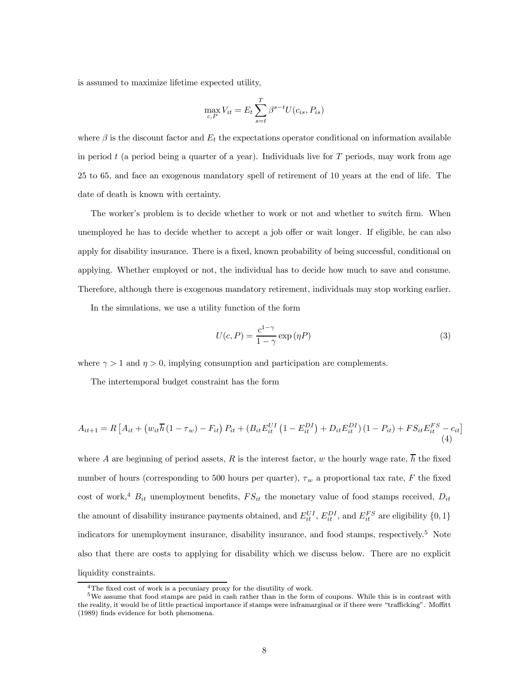is assumed to maximize lifetime expected utility,

$$
\max_{c,P} V_{it} = E_t \sum_{s=t}^{T} \beta^{s-t} U(c_{is}, P_{is})
$$

where  $\beta$  is the discount factor and  $E_t$  the expectations operator conditional on information available in period t (a period being a quarter of a year). Individuals live for  $T$  periods, may work from age 25 to 65, and face an exogenous mandatory spell of retirement of 10 years at the end of life. The date of death is known with certainty.

The worker's problem is to decide whether to work or not and whether to switch firm. When unemployed he has to decide whether to accept a job offer or wait longer. If eligible, he can also apply for disability insurance. There is a fixed, known probability of being successful, conditional on applying. Whether employed or not, the individual has to decide how much to save and consume. Therefore, although there is exogenous mandatory retirement, individuals may stop working earlier.

In the simulations, we use a utility function of the form

$$
U(c, P) = \frac{c^{1-\gamma}}{1-\gamma} \exp(\eta P)
$$
\n(3)

where  $\gamma > 1$  and  $\eta > 0$ , implying consumption and participation are complements.

The intertemporal budget constraint has the form

$$
A_{it+1} = R \left[ A_{it} + \left( w_{it} \overline{h} \left( 1 - \tau_w \right) - F_{it} \right) P_{it} + \left( B_{it} E_{it}^{UI} \left( 1 - E_{it}^{DI} \right) + D_{it} E_{it}^{DI} \right) \left( 1 - P_{it} \right) + FS_{it} E_{it}^{FS} - c_{it} \right]
$$
\n(4)

where A are beginning of period assets, R is the interest factor, w the hourly wage rate,  $\overline{h}$  the fixed number of hours (corresponding to 500 hours per quarter),  $\tau_w$  a proportional tax rate, F the fixed cost of work,<sup>4</sup>  $B_{it}$  unemployment benefits,  $FS_{it}$  the monetary value of food stamps received,  $D_{it}$ the amount of disability insurance payments obtained, and  $E_{it}^{UI}$ ,  $E_{it}^{DI}$ , and  $E_{it}^{FS}$  are eligibility  $\{0, 1\}$ indicators for unemployment insurance, disability insurance, and food stamps, respectively.<sup>5</sup> Note also that there are costs to applying for disability which we discuss below. There are no explicit liquidity constraints.

<sup>&</sup>lt;sup>4</sup>The fixed cost of work is a pecuniary proxy for the disutility of work.

<sup>5</sup>We assume that food stamps are paid in cash rather than in the form of coupons. While this is in contrast with the reality, it would be of little practical importance if stamps were inframarginal or if there were "trafficking". Moffitt (1989) finds evidence for both phenomena.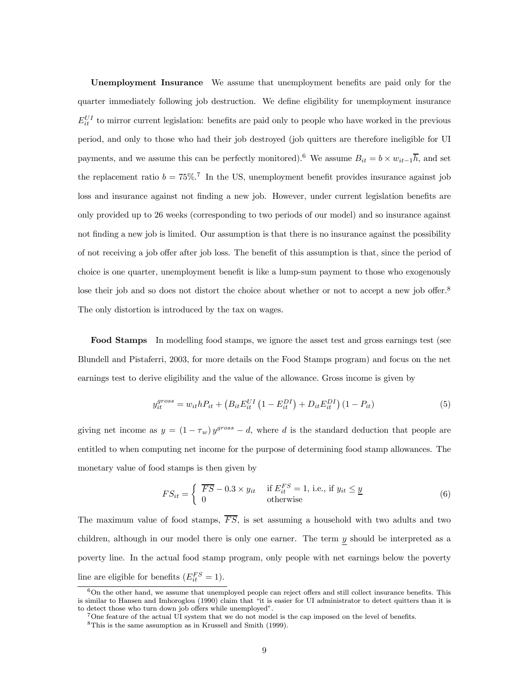Unemployment Insurance We assume that unemployment benefits are paid only for the quarter immediately following job destruction. We define eligibility for unemployment insurance  $E_{it}^{UI}$  to mirror current legislation: benefits are paid only to people who have worked in the previous period, and only to those who had their job destroyed (job quitters are therefore ineligible for UI payments, and we assume this can be perfectly monitored).<sup>6</sup> We assume  $B_{it} = b \times w_{it-1}hbar$ , and set the replacement ratio  $b = 75\%$ .<sup>7</sup> In the US, unemployment benefit provides insurance against job loss and insurance against not finding a new job. However, under current legislation benefits are only provided up to 26 weeks (corresponding to two periods of our model) and so insurance against not finding a new job is limited. Our assumption is that there is no insurance against the possibility of not receiving a job offer after job loss. The benefit of this assumption is that, since the period of choice is one quarter, unemployment benefit is like a lump-sum payment to those who exogenously lose their job and so does not distort the choice about whether or not to accept a new job offer.<sup>8</sup> The only distortion is introduced by the tax on wages.

Food Stamps In modelling food stamps, we ignore the asset test and gross earnings test (see Blundell and Pistaferri, 2003, for more details on the Food Stamps program) and focus on the net earnings test to derive eligibility and the value of the allowance. Gross income is given by

$$
y_{it}^{gross} = w_{it} h P_{it} + (B_{it} E_{it}^{UI} (1 - E_{it}^{DI}) + D_{it} E_{it}^{DI}) (1 - P_{it})
$$
\n(5)

giving net income as  $y = (1 - \tau_w) y^{gross} - d$ , where d is the standard deduction that people are entitled to when computing net income for the purpose of determining food stamp allowances. The monetary value of food stamps is then given by

$$
FS_{it} = \begin{cases} \overline{FS} - 0.3 \times y_{it} & \text{if } E_{it}^{FS} = 1, \text{ i.e., if } y_{it} \leq \underline{y} \\ 0 & \text{otherwise} \end{cases}
$$
(6)

The maximum value of food stamps,  $\overline{FS}$ , is set assuming a household with two adults and two children, although in our model there is only one earner. The term y should be interpreted as a poverty line. In the actual food stamp program, only people with net earnings below the poverty line are eligible for benefits  $(E_{it}^{FS} = 1)$ .

<sup>&</sup>lt;sup>6</sup>On the other hand, we assume that unemployed people can reject offers and still collect insurance benefits. This is similar to Hansen and Imhoroglou (1990) claim that "it is easier for UI administrator to detect quitters than it is to detect those who turn down job offers while unemployed".

<sup>7</sup>One feature of the actual UI system that we do not model is the cap imposed on the level of benefits.

<sup>8</sup>This is the same assumption as in Krussell and Smith (1999).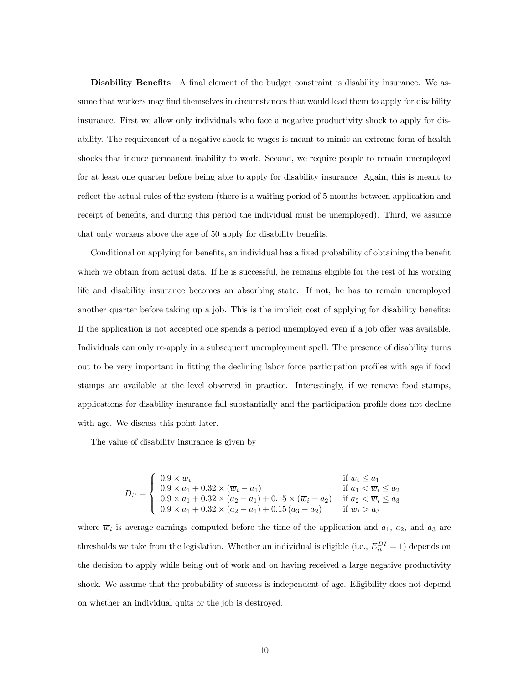Disability Benefits A final element of the budget constraint is disability insurance. We assume that workers may find themselves in circumstances that would lead them to apply for disability insurance. First we allow only individuals who face a negative productivity shock to apply for disability. The requirement of a negative shock to wages is meant to mimic an extreme form of health shocks that induce permanent inability to work. Second, we require people to remain unemployed for at least one quarter before being able to apply for disability insurance. Again, this is meant to reflect the actual rules of the system (there is a waiting period of 5 months between application and receipt of benefits, and during this period the individual must be unemployed). Third, we assume that only workers above the age of 50 apply for disability benefits.

Conditional on applying for benefits, an individual has a fixed probability of obtaining the benefit which we obtain from actual data. If he is successful, he remains eligible for the rest of his working life and disability insurance becomes an absorbing state. If not, he has to remain unemployed another quarter before taking up a job. This is the implicit cost of applying for disability benefits: If the application is not accepted one spends a period unemployed even if a job offer was available. Individuals can only re-apply in a subsequent unemployment spell. The presence of disability turns out to be very important in fitting the declining labor force participation profiles with age if food stamps are available at the level observed in practice. Interestingly, if we remove food stamps, applications for disability insurance fall substantially and the participation profile does not decline with age. We discuss this point later.

The value of disability insurance is given by

$$
D_{it} = \begin{cases} 0.9 \times \overline{w}_i & \text{if } \overline{w}_i \le a_1 \\ 0.9 \times a_1 + 0.32 \times (\overline{w}_i - a_1) & \text{if } a_1 < \overline{w}_i \le a_2 \\ 0.9 \times a_1 + 0.32 \times (a_2 - a_1) + 0.15 \times (\overline{w}_i - a_2) & \text{if } a_2 < \overline{w}_i \le a_3 \\ 0.9 \times a_1 + 0.32 \times (a_2 - a_1) + 0.15 (a_3 - a_2) & \text{if } \overline{w}_i > a_3 \end{cases}
$$

where  $\overline{w}_i$  is average earnings computed before the time of the application and  $a_1$ ,  $a_2$ , and  $a_3$  are thresholds we take from the legislation. Whether an individual is eligible (i.e.,  $E_{it}^{DI} = 1$ ) depends on the decision to apply while being out of work and on having received a large negative productivity shock. We assume that the probability of success is independent of age. Eligibility does not depend on whether an individual quits or the job is destroyed.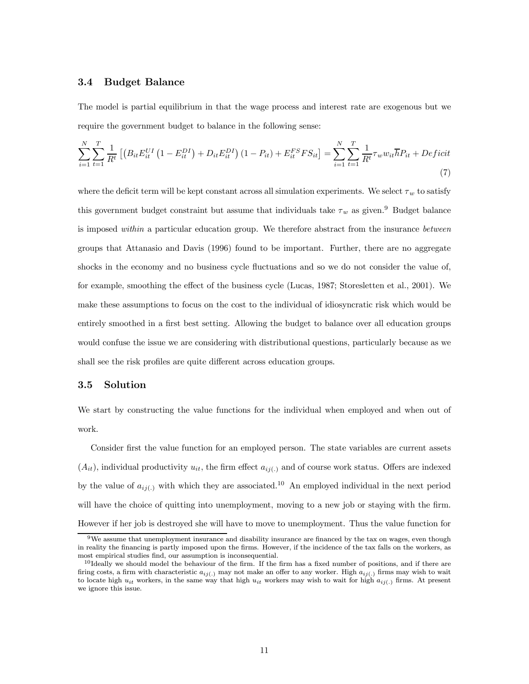#### 3.4 Budget Balance

The model is partial equilibrium in that the wage process and interest rate are exogenous but we require the government budget to balance in the following sense:

$$
\sum_{i=1}^{N} \sum_{t=1}^{T} \frac{1}{R^t} \left[ \left( B_{it} E_{it}^{UI} \left( 1 - E_{it}^{DI} \right) + D_{it} E_{it}^{DI} \right) (1 - P_{it}) + E_{it}^{FS} F S_{it} \right] = \sum_{i=1}^{N} \sum_{t=1}^{T} \frac{1}{R^t} \tau_w w_{it} \overline{h} P_{it} + Deficit
$$
\n(7)

where the deficit term will be kept constant across all simulation experiments. We select  $\tau_w$  to satisfy this government budget constraint but assume that individuals take  $\tau_w$  as given.<sup>9</sup> Budget balance is imposed within a particular education group. We therefore abstract from the insurance between groups that Attanasio and Davis (1996) found to be important. Further, there are no aggregate shocks in the economy and no business cycle fluctuations and so we do not consider the value of, for example, smoothing the effect of the business cycle (Lucas, 1987; Storesletten et al., 2001). We make these assumptions to focus on the cost to the individual of idiosyncratic risk which would be entirely smoothed in a first best setting. Allowing the budget to balance over all education groups would confuse the issue we are considering with distributional questions, particularly because as we shall see the risk profiles are quite different across education groups.

#### 3.5 Solution

We start by constructing the value functions for the individual when employed and when out of work.

Consider first the value function for an employed person. The state variables are current assets  $(A_{it})$ , individual productivity  $u_{it}$ , the firm effect  $a_{ii(.)}$  and of course work status. Offers are indexed by the value of  $a_{ii(.)}$  with which they are associated.<sup>10</sup> An employed individual in the next period will have the choice of quitting into unemployment, moving to a new job or staying with the firm. However if her job is destroyed she will have to move to unemployment. Thus the value function for

<sup>9</sup>We assume that unemployment insurance and disability insurance are financed by the tax on wages, even though in reality the financing is partly imposed upon the firms. However, if the incidence of the tax falls on the workers, as most empirical studies find, our assumption is inconsequential.

 $10$ Ideally we should model the behaviour of the firm. If the firm has a fixed number of positions, and if there are firing costs, a firm with characteristic  $a_{ij(.)}$  may not make an offer to any worker. High  $a_{ij(.)}$  firms may wish to wait to locate high  $u_{it}$  workers, in the same way that high  $u_{it}$  workers may wish to wait for high  $a_{ij(.)}$  firms. At present we ignore this issue.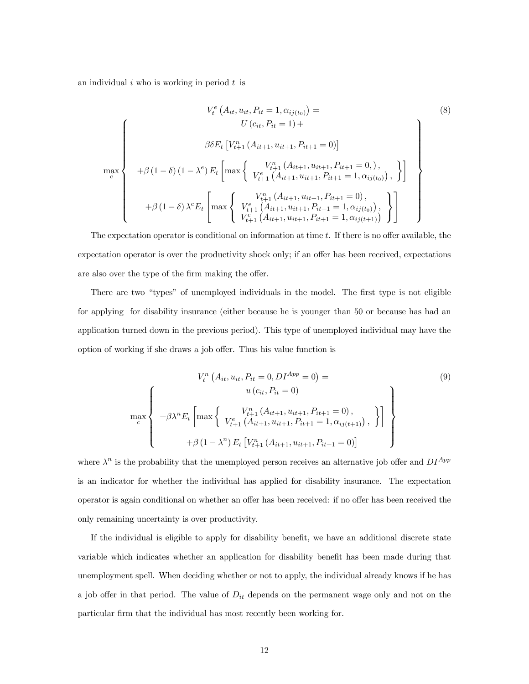an individual  $i$  who is working in period  $t$  is

$$
V_{t}^{e}(A_{it}, u_{it}, P_{it} = 1, \alpha_{ij(t_{0})}) =
$$
\n
$$
U(c_{it}, P_{it} = 1) +
$$
\n
$$
\beta \delta E_{t} [V_{t+1}^{n} (A_{it+1}, u_{it+1}, P_{it+1} = 0)]
$$
\n
$$
+ \beta (1 - \delta) (1 - \lambda^{e}) E_{t} \left[ \max \left\{ \begin{array}{c} V_{t+1}^{n} (A_{it+1}, u_{it+1}, P_{it+1} = 0,), \\ V_{t+1}^{e} (A_{it+1}, u_{it+1}, P_{it+1} = 1, \alpha_{ij(t_{0})}), \\ V_{t+1}^{n} (A_{it+1}, u_{it+1}, P_{it+1} = 0), \\ + \beta (1 - \delta) \lambda^{e} E_{t} \left[ \max \left\{ \begin{array}{c} V_{t+1}^{n} (A_{it+1}, u_{it+1}, P_{it+1} = 0), \\ V_{t+1}^{e} (A_{it+1}, u_{it+1}, P_{it+1} = 1, \alpha_{ij(t_{0})}), \\ V_{t+1}^{e} (A_{it+1}, u_{it+1}, P_{it+1} = 1, \alpha_{ij(t+1)}) \end{array} \right\} \right]
$$
\n
$$
(8)
$$

The expectation operator is conditional on information at time  $t$ . If there is no offer available, the expectation operator is over the productivity shock only; if an offer has been received, expectations are also over the type of the firm making the offer.

There are two "types" of unemployed individuals in the model. The first type is not eligible for applying for disability insurance (either because he is younger than 50 or because has had an application turned down in the previous period). This type of unemployed individual may have the option of working if she draws a job offer. Thus his value function is

$$
V_t^n (A_{it}, u_{it}, P_{it} = 0, DI^{App} = 0) =
$$
\n
$$
\max_c \left\{ +\beta \lambda^n E_t \left[ \max \left\{ \begin{array}{l} V_{t+1}^n (A_{it+1}, u_{it+1}, P_{it+1} = 0), \\ V_{t+1}^n (A_{it+1}, u_{it+1}, P_{it+1} = 0), \\ V_{t+1}^e (A_{it+1}, u_{it+1}, P_{it+1} = 1, \alpha_{ij}(t+1)), \end{array} \right\} \right\}
$$
\n
$$
+ \beta (1 - \lambda^n) E_t \left[ V_{t+1}^n (A_{it+1}, u_{it+1}, P_{it+1} = 0) \right]
$$
\n(9)

where  $\lambda^n$  is the probability that the unemployed person receives an alternative job offer and  $DI^{App}$ is an indicator for whether the individual has applied for disability insurance. The expectation operator is again conditional on whether an offer has been received: if no offer has been received the only remaining uncertainty is over productivity.

If the individual is eligible to apply for disability benefit, we have an additional discrete state variable which indicates whether an application for disability benefit has been made during that unemployment spell. When deciding whether or not to apply, the individual already knows if he has a job offer in that period. The value of  $D_{it}$  depends on the permanent wage only and not on the particular firm that the individual has most recently been working for.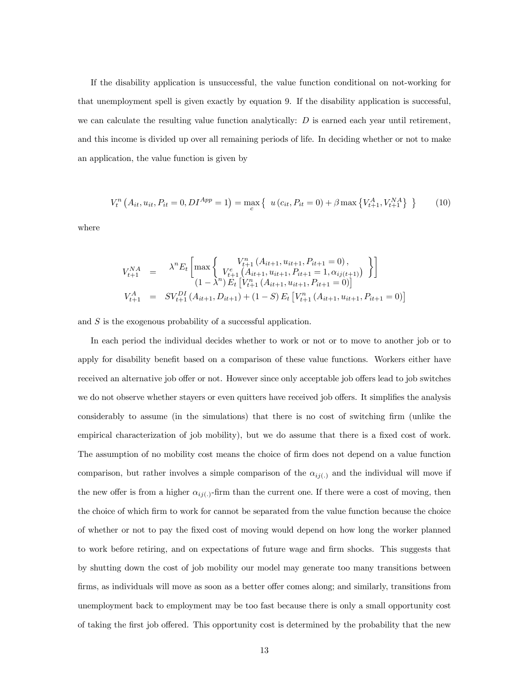If the disability application is unsuccessful, the value function conditional on not-working for that unemployment spell is given exactly by equation 9. If the disability application is successful, we can calculate the resulting value function analytically:  $D$  is earned each year until retirement, and this income is divided up over all remaining periods of life. In deciding whether or not to make an application, the value function is given by

$$
V_t^n\left(A_{it}, u_{it}, P_{it} = 0, DI^{App} = 1\right) = \max_c \left\{ u\left(c_{it}, P_{it} = 0\right) + \beta \max \left\{V_{t+1}^A, V_{t+1}^{NA}\right\} \right\} \tag{10}
$$

where

$$
V_{t+1}^{NA} = \lambda^{n} E_{t} \left[ \max \left\{ \begin{array}{c} V_{t+1}^{n} \left( A_{it+1}, u_{it+1}, P_{it+1} = 0 \right), \\ V_{t+1}^{e} \left( A_{it+1}, u_{it+1}, P_{it+1} = 1, \alpha_{ij(t+1)} \right) \end{array} \right\} \right]
$$
  
\n
$$
V_{t+1}^{A} = SV_{t+1}^{DI} \left( A_{it+1}, D_{it+1} \right) + (1 - S) E_{t} \left[ V_{t+1}^{n} \left( A_{it+1}, u_{it+1}, P_{it+1} = 0 \right) \right]
$$

and S is the exogenous probability of a successful application.

In each period the individual decides whether to work or not or to move to another job or to apply for disability benefit based on a comparison of these value functions. Workers either have received an alternative job offer or not. However since only acceptable job offers lead to job switches we do not observe whether stayers or even quitters have received job offers. It simplifies the analysis considerably to assume (in the simulations) that there is no cost of switching firm (unlike the empirical characterization of job mobility), but we do assume that there is a fixed cost of work. The assumption of no mobility cost means the choice of firm does not depend on a value function comparison, but rather involves a simple comparison of the  $\alpha_{ij(.)}$  and the individual will move if the new offer is from a higher  $\alpha_{ij(.)}$ -firm than the current one. If there were a cost of moving, then the choice of which firm to work for cannot be separated from the value function because the choice of whether or not to pay the fixed cost of moving would depend on how long the worker planned to work before retiring, and on expectations of future wage and firm shocks. This suggests that by shutting down the cost of job mobility our model may generate too many transitions between firms, as individuals will move as soon as a better offer comes along; and similarly, transitions from unemployment back to employment may be too fast because there is only a small opportunity cost of taking the first job offered. This opportunity cost is determined by the probability that the new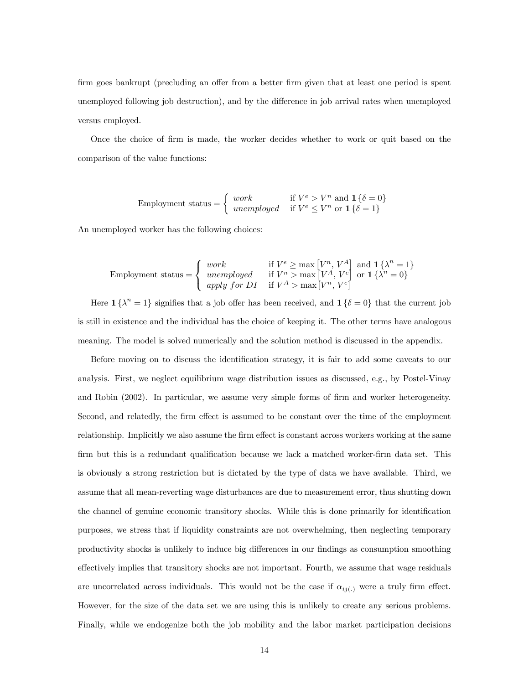firm goes bankrupt (precluding an offer from a better firm given that at least one period is spent unemployed following job destruction), and by the difference in job arrival rates when unemployed versus employed.

Once the choice of firm is made, the worker decides whether to work or quit based on the comparison of the value functions:

$$
\text{Employment status} = \left\{ \begin{array}{ll} work & \text{if } V^e > V^n \text{ and } \mathbf{1} \left\{ \delta = 0 \right\} \\ unemployed & \text{if } V^e \le V^n \text{ or } \mathbf{1} \left\{ \delta = 1 \right\} \end{array} \right.
$$

An unemployed worker has the following choices:

$$
\text{Employment status} = \left\{ \begin{array}{ll} work & \text{if } V^e \ge \max\left[V^n, V^A\right] \text{ and } \mathbf{1} \left\{\lambda^n = 1\right\} \\ unemployed & \text{if } V^n > \max\left[V^A, V^e\right] \text{ or } \mathbf{1} \left\{\lambda^n = 0\right\} \\ apply \text{ for } DI & \text{if } V^A > \max\left[V^n, V^e\right] \end{array} \right.
$$

Here  $\mathbf{1} \{\lambda^n = 1\}$  signifies that a job offer has been received, and  $\mathbf{1} \{\delta = 0\}$  that the current job is still in existence and the individual has the choice of keeping it. The other terms have analogous meaning. The model is solved numerically and the solution method is discussed in the appendix.

Before moving on to discuss the identification strategy, it is fair to add some caveats to our analysis. First, we neglect equilibrium wage distribution issues as discussed, e.g., by Postel-Vinay and Robin (2002). In particular, we assume very simple forms of firm and worker heterogeneity. Second, and relatedly, the firm effect is assumed to be constant over the time of the employment relationship. Implicitly we also assume the firm effect is constant across workers working at the same firm but this is a redundant qualification because we lack a matched worker-firm data set. This is obviously a strong restriction but is dictated by the type of data we have available. Third, we assume that all mean-reverting wage disturbances are due to measurement error, thus shutting down the channel of genuine economic transitory shocks. While this is done primarily for identification purposes, we stress that if liquidity constraints are not overwhelming, then neglecting temporary productivity shocks is unlikely to induce big differences in our findings as consumption smoothing effectively implies that transitory shocks are not important. Fourth, we assume that wage residuals are uncorrelated across individuals. This would not be the case if  $\alpha_{ij}(.)$  were a truly firm effect. However, for the size of the data set we are using this is unlikely to create any serious problems. Finally, while we endogenize both the job mobility and the labor market participation decisions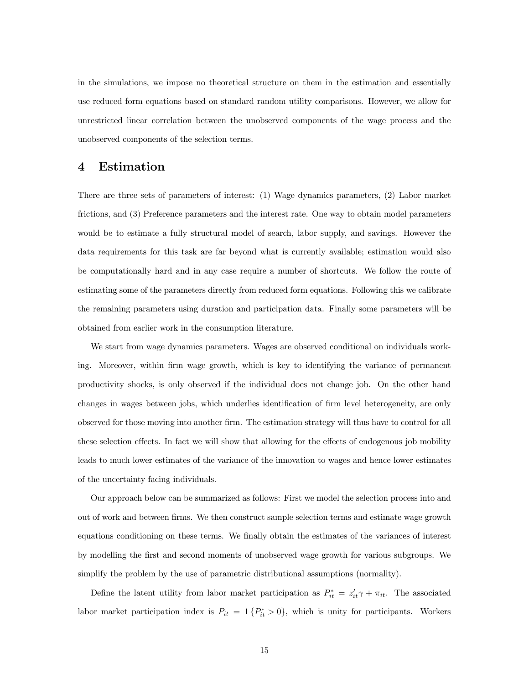in the simulations, we impose no theoretical structure on them in the estimation and essentially use reduced form equations based on standard random utility comparisons. However, we allow for unrestricted linear correlation between the unobserved components of the wage process and the unobserved components of the selection terms.

### 4 Estimation

There are three sets of parameters of interest: (1) Wage dynamics parameters, (2) Labor market frictions, and (3) Preference parameters and the interest rate. One way to obtain model parameters would be to estimate a fully structural model of search, labor supply, and savings. However the data requirements for this task are far beyond what is currently available; estimation would also be computationally hard and in any case require a number of shortcuts. We follow the route of estimating some of the parameters directly from reduced form equations. Following this we calibrate the remaining parameters using duration and participation data. Finally some parameters will be obtained from earlier work in the consumption literature.

We start from wage dynamics parameters. Wages are observed conditional on individuals working. Moreover, within firm wage growth, which is key to identifying the variance of permanent productivity shocks, is only observed if the individual does not change job. On the other hand changes in wages between jobs, which underlies identification of firm level heterogeneity, are only observed for those moving into another firm. The estimation strategy will thus have to control for all these selection effects. In fact we will show that allowing for the effects of endogenous job mobility leads to much lower estimates of the variance of the innovation to wages and hence lower estimates of the uncertainty facing individuals.

Our approach below can be summarized as follows: First we model the selection process into and out of work and between firms. We then construct sample selection terms and estimate wage growth equations conditioning on these terms. We finally obtain the estimates of the variances of interest by modelling the first and second moments of unobserved wage growth for various subgroups. We simplify the problem by the use of parametric distributional assumptions (normality).

Define the latent utility from labor market participation as  $P_{it}^* = z_{it}' \gamma + \pi_{it}$ . The associated labor market participation index is  $P_{it} = 1 \{P_{it}^* > 0\}$ , which is unity for participants. Workers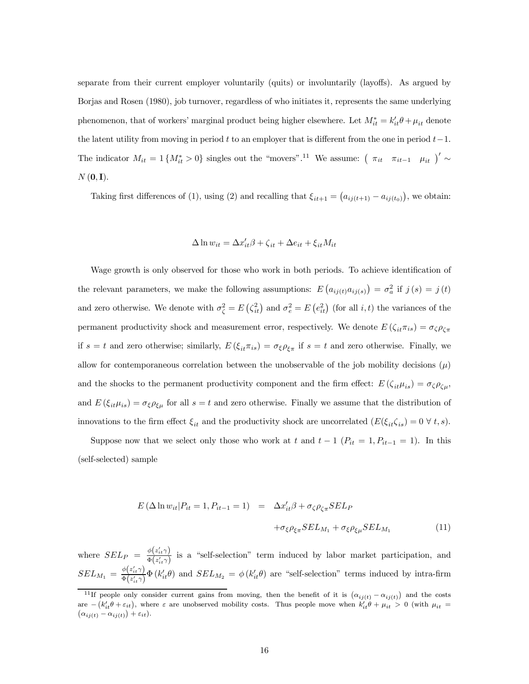separate from their current employer voluntarily (quits) or involuntarily (layoffs). As argued by Borjas and Rosen (1980), job turnover, regardless of who initiates it, represents the same underlying phenomenon, that of workers' marginal product being higher elsewhere. Let  $M_{it}^* = k_{it}'\theta + \mu_{it}$  denote the latent utility from moving in period t to an employer that is different from the one in period  $t-1$ . The indicator  $M_{it} = 1\{M_{it}^* > 0\}$  singles out the "movers".<sup>11</sup> We assume:  $(\pi_{it} \pi_{it-1} \mu_{it})' \sim$  $N(\mathbf{0}, \mathbf{I}).$ 

Taking first differences of (1), using (2) and recalling that  $\xi_{it+1} = (a_{ij(t+1)} - a_{ij(t_0)})$ , we obtain:

$$
\Delta \ln w_{it} = \Delta x_{it}' \beta + \zeta_{it} + \Delta e_{it} + \xi_{it} M_{it}
$$

Wage growth is only observed for those who work in both periods. To achieve identification of the relevant parameters, we make the following assumptions:  $E(a_{ij(t)}a_{ij(s)}) = \sigma_a^2$  if  $j(s) = j(t)$ and zero otherwise. We denote with  $\sigma_{\zeta}^2 = E\left(\zeta_{it}^2\right)$  and  $\sigma_e^2 = E\left(e_{it}^2\right)$  (for all  $i, t$ ) the variances of the permanent productivity shock and measurement error, respectively. We denote  $E(\zeta_{it}\pi_{is}) = \sigma_{\zeta}\rho_{\zeta\pi}$ if  $s = t$  and zero otherwise; similarly,  $E(\xi_{it}\pi_{is}) = \sigma_{\xi}\rho_{\xi\pi}$  if  $s = t$  and zero otherwise. Finally, we allow for contemporaneous correlation between the unobservable of the job mobility decisions  $(\mu)$ and the shocks to the permanent productivity component and the firm effect:  $E(\zeta_{it}\mu_{is}) = \sigma_{\zeta}\rho_{\zeta\mu}$ , and  $E(\xi_{it}\mu_{is}) = \sigma_{\xi}\rho_{\xi\mu}$  for all  $s = t$  and zero otherwise. Finally we assume that the distribution of innovations to the firm effect  $\xi_{it}$  and the productivity shock are uncorrelated  $(E(\xi_{it}\zeta_{is})=0 \ \forall \ t, s)$ .

Suppose now that we select only those who work at t and  $t-1$  ( $P_{it} = 1, P_{it-1} = 1$ ). In this (self-selected) sample

$$
E(\Delta \ln w_{it}|P_{it} = 1, P_{it-1} = 1) = \Delta x'_{it}\beta + \sigma_{\zeta}\rho_{\zeta\pi} SEL_{P}
$$

$$
+ \sigma_{\xi}\rho_{\xi\pi} SEL_{M_1} + \sigma_{\xi}\rho_{\xi\mu} SEL_{M_1}
$$
(11)

where  $SEL_P = \frac{\phi(z'_{it}\gamma)}{\Phi(z'_{it}\gamma)}$  $\frac{\phi(z_{it})}{\Phi(z_{it})}$  is a "self-selection" term induced by labor market participation, and  $SEL_{M_1} = \frac{\phi(z'_{it}\gamma)}{\Phi(z'\gamma)}$  $\frac{\phi(s_{it})}{\Phi(s_{it}')}$   $\Phi(k_{it}'\theta)$  and  $SEL_{M_2} = \phi(k_{it}'\theta)$  are "self-selection" terms induced by intra-firm

<sup>&</sup>lt;sup>11</sup>If people only consider current gains from moving, then the benefit of it is  $(\alpha_{ij(t)} - \alpha_{ij(t)})$  and the costs are  $-(k'_{it}\theta + \varepsilon_{it})$ , where  $\varepsilon$  are unobserved mobility costs. Thus people move when  $k'_{it}\theta + \mu_{it} > 0$  (with  $\mu_{it} = (\alpha_{i}(k) - \alpha_{i}(k)) + \varepsilon_{it}$ ).  $\alpha_{ij(t)} - \alpha_{ij(t)} + \varepsilon_{it}.$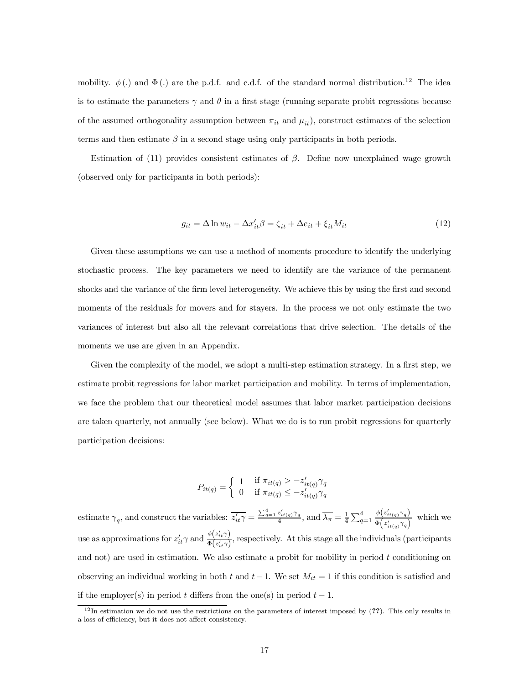mobility.  $\phi(.)$  and  $\Phi(.)$  are the p.d.f. and c.d.f. of the standard normal distribution.<sup>12</sup> The idea is to estimate the parameters  $\gamma$  and  $\theta$  in a first stage (running separate probit regressions because of the assumed orthogonality assumption between  $\pi_{it}$  and  $\mu_{it}$ , construct estimates of the selection terms and then estimate  $\beta$  in a second stage using only participants in both periods.

Estimation of (11) provides consistent estimates of  $\beta$ . Define now unexplained wage growth (observed only for participants in both periods):

$$
g_{it} = \Delta \ln w_{it} - \Delta x'_{it}\beta = \zeta_{it} + \Delta e_{it} + \xi_{it} M_{it}
$$
\n(12)

Given these assumptions we can use a method of moments procedure to identify the underlying stochastic process. The key parameters we need to identify are the variance of the permanent shocks and the variance of the firm level heterogeneity. We achieve this by using the first and second moments of the residuals for movers and for stayers. In the process we not only estimate the two variances of interest but also all the relevant correlations that drive selection. The details of the moments we use are given in an Appendix.

Given the complexity of the model, we adopt a multi-step estimation strategy. In a first step, we estimate probit regressions for labor market participation and mobility. In terms of implementation, we face the problem that our theoretical model assumes that labor market participation decisions are taken quarterly, not annually (see below). What we do is to run probit regressions for quarterly participation decisions:

$$
P_{it(q)} = \begin{cases} 1 & \text{if } \pi_{it(q)} > -z'_{it(q)} \gamma_q \\ 0 & \text{if } \pi_{it(q)} \leq -z'_{it(q)} \gamma_q \end{cases}
$$

estimate  $\gamma_q$ , and construct the variables:  $\overline{z'_{it}\gamma} = \frac{\sum_{q=1}^4 z'_{it(q)}\gamma_q}{4}$ , and  $\overline{\lambda_{\pi}} = \frac{1}{4}\sum_{q=1}^4 \frac{\phi(z'_{it(q)}\gamma_q)}{\Phi(z'_{it(q)}\gamma_q)}$  $\frac{\varphi(z_{it(q)}q)}{\Phi(z'_{it(q)}\gamma_q)}$  which we use as approximations for  $z'_{it}\gamma$  and  $\frac{\phi(z'_{it}\gamma)}{\Phi(z'_{it}\gamma)}$  $\frac{\varphi(\varkappa_{it})}{\Phi(\varkappa'_{it}\gamma)}$ , respectively. At this stage all the individuals (participants and not) are used in estimation. We also estimate a probit for mobility in period t conditioning on observing an individual working in both t and  $t-1$ . We set  $M_{it} = 1$  if this condition is satisfied and if the employer(s) in period t differs from the one(s) in period  $t - 1$ .

 $12$ In estimation we do not use the restrictions on the parameters of interest imposed by  $(??)$ . This only results in a loss of efficiency, but it does not affect consistency.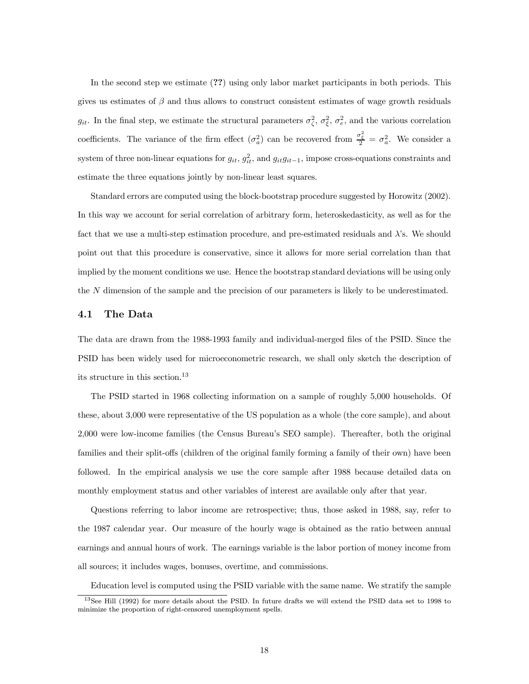In the second step we estimate (??) using only labor market participants in both periods. This gives us estimates of  $\beta$  and thus allows to construct consistent estimates of wage growth residuals  $g_{it}$ . In the final step, we estimate the structural parameters  $\sigma_{\zeta}^2$ ,  $\sigma_{\xi}^2$ ,  $\sigma_{e}^2$ , and the various correlation coefficients. The variance of the firm effect  $(\sigma_a^2)$  can be recovered from  $\frac{\sigma_{\xi}^2}{2} = \sigma_a^2$ . We consider a system of three non-linear equations for  $g_{it}$ ,  $g_{it}^2$ , and  $g_{it}g_{it-1}$ , impose cross-equations constraints and estimate the three equations jointly by non-linear least squares.

Standard errors are computed using the block-bootstrap procedure suggested by Horowitz (2002). In this way we account for serial correlation of arbitrary form, heteroskedasticity, as well as for the fact that we use a multi-step estimation procedure, and pre-estimated residuals and  $\lambda$ 's. We should point out that this procedure is conservative, since it allows for more serial correlation than that implied by the moment conditions we use. Hence the bootstrap standard deviations will be using only the N dimension of the sample and the precision of our parameters is likely to be underestimated.

### 4.1 The Data

The data are drawn from the 1988-1993 family and individual-merged files of the PSID. Since the PSID has been widely used for microeconometric research, we shall only sketch the description of its structure in this section.<sup>13</sup>

The PSID started in 1968 collecting information on a sample of roughly 5,000 households. Of these, about 3,000 were representative of the US population as a whole (the core sample), and about 2,000 were low-income families (the Census Bureau's SEO sample). Thereafter, both the original families and their split-offs (children of the original family forming a family of their own) have been followed. In the empirical analysis we use the core sample after 1988 because detailed data on monthly employment status and other variables of interest are available only after that year.

Questions referring to labor income are retrospective; thus, those asked in 1988, say, refer to the 1987 calendar year. Our measure of the hourly wage is obtained as the ratio between annual earnings and annual hours of work. The earnings variable is the labor portion of money income from all sources; it includes wages, bonuses, overtime, and commissions.

Education level is computed using the PSID variable with the same name. We stratify the sample

<sup>13</sup>See Hill (1992) for more details about the PSID. In future drafts we will extend the PSID data set to 1998 to minimize the proportion of right-censored unemployment spells.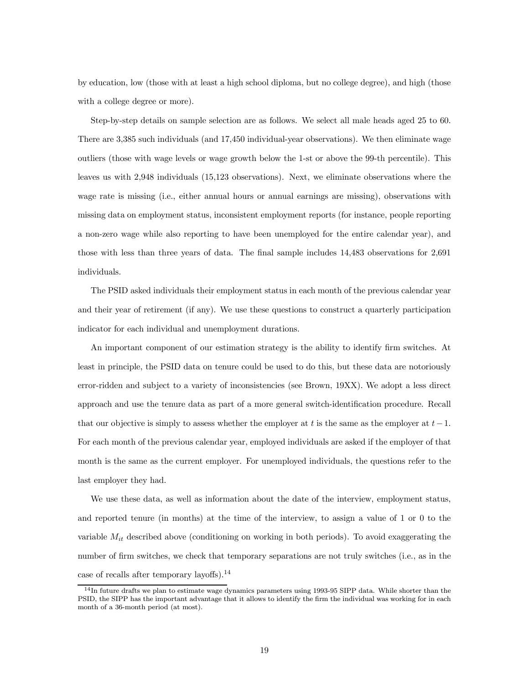by education, low (those with at least a high school diploma, but no college degree), and high (those with a college degree or more).

Step-by-step details on sample selection are as follows. We select all male heads aged 25 to 60. There are 3,385 such individuals (and 17,450 individual-year observations). We then eliminate wage outliers (those with wage levels or wage growth below the 1-st or above the 99-th percentile). This leaves us with 2,948 individuals (15,123 observations). Next, we eliminate observations where the wage rate is missing (i.e., either annual hours or annual earnings are missing), observations with missing data on employment status, inconsistent employment reports (for instance, people reporting a non-zero wage while also reporting to have been unemployed for the entire calendar year), and those with less than three years of data. The final sample includes 14,483 observations for 2,691 individuals.

The PSID asked individuals their employment status in each month of the previous calendar year and their year of retirement (if any). We use these questions to construct a quarterly participation indicator for each individual and unemployment durations.

An important component of our estimation strategy is the ability to identify firm switches. At least in principle, the PSID data on tenure could be used to do this, but these data are notoriously error-ridden and subject to a variety of inconsistencies (see Brown, 19XX). We adopt a less direct approach and use the tenure data as part of a more general switch-identification procedure. Recall that our objective is simply to assess whether the employer at t is the same as the employer at  $t-1$ . For each month of the previous calendar year, employed individuals are asked if the employer of that month is the same as the current employer. For unemployed individuals, the questions refer to the last employer they had.

We use these data, as well as information about the date of the interview, employment status, and reported tenure (in months) at the time of the interview, to assign a value of 1 or 0 to the variable  $M_{it}$  described above (conditioning on working in both periods). To avoid exaggerating the number of firm switches, we check that temporary separations are not truly switches (i.e., as in the case of recalls after temporary layoffs).<sup>14</sup>

 $14$ In future drafts we plan to estimate wage dynamics parameters using 1993-95 SIPP data. While shorter than the PSID, the SIPP has the important advantage that it allows to identify the firm the individual was working for in each month of a 36-month period (at most).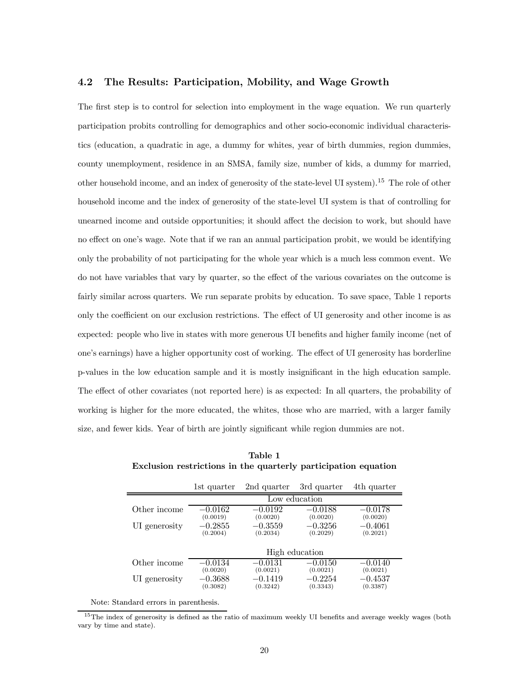### 4.2 The Results: Participation, Mobility, and Wage Growth

The first step is to control for selection into employment in the wage equation. We run quarterly participation probits controlling for demographics and other socio-economic individual characteristics (education, a quadratic in age, a dummy for whites, year of birth dummies, region dummies, county unemployment, residence in an SMSA, family size, number of kids, a dummy for married, other household income, and an index of generosity of the state-level UI system).<sup>15</sup> The role of other household income and the index of generosity of the state-level UI system is that of controlling for unearned income and outside opportunities; it should affect the decision to work, but should have no effect on one's wage. Note that if we ran an annual participation probit, we would be identifying only the probability of not participating for the whole year which is a much less common event. We do not have variables that vary by quarter, so the effect of the various covariates on the outcome is fairly similar across quarters. We run separate probits by education. To save space, Table 1 reports only the coefficient on our exclusion restrictions. The effect of UI generosity and other income is as expected: people who live in states with more generous UI benefits and higher family income (net of one's earnings) have a higher opportunity cost of working. The effect of UI generosity has borderline p-values in the low education sample and it is mostly insignificant in the high education sample. The effect of other covariates (not reported here) is as expected: In all quarters, the probability of working is higher for the more educated, the whites, those who are married, with a larger family size, and fewer kids. Year of birth are jointly significant while region dummies are not.

|               | 1st quarter           | 2nd quarter           | 3rd quarter           | 4th quarter           |
|---------------|-----------------------|-----------------------|-----------------------|-----------------------|
|               |                       |                       | Low education         |                       |
| Other income  | $-0.0162$             | $-0.0192$             | $-0.0188$             | $-0.0178$             |
|               | (0.0019)              | (0.0020)              | (0.0020)              | (0.0020)              |
| UI generosity | $-0.2855$             | $-0.3559$             | $-0.3256$             | $-0.4061$             |
|               | (0.2004)              | (0.2034)              | (0.2029)              | (0.2021)              |
|               | High education        |                       |                       |                       |
| Other income  | $-0.0134$             | $-0.0131$             | $-0.0150$             | $-0.0140$             |
|               | (0.0020)              | (0.0021)              | (0.0021)              | (0.0021)              |
| UI generosity | $-0.3688$<br>(0.3082) | $-0.1419$<br>(0.3242) | $-0.2254$<br>(0.3343) | $-0.4537$<br>(0.3387) |

Table 1 Exclusion restrictions in the quarterly participation equation

Note: Standard errors in parenthesis.

<sup>15</sup>The index of generosity is defined as the ratio of maximum weekly UI benefits and average weekly wages (both vary by time and state).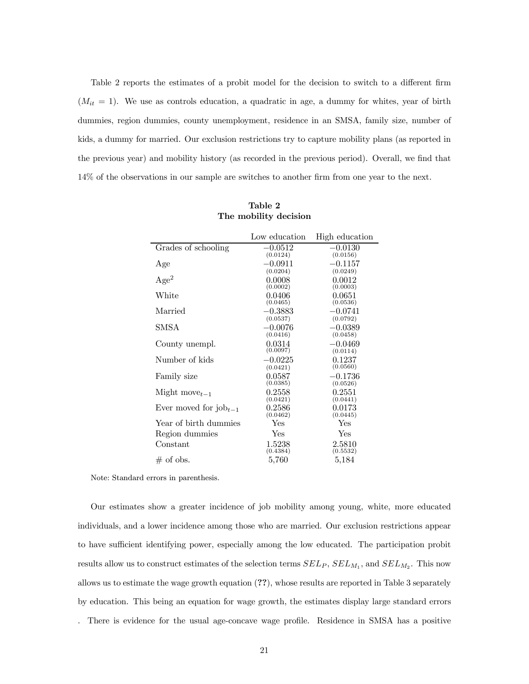Table 2 reports the estimates of a probit model for the decision to switch to a different firm  $(M_{it} = 1)$ . We use as controls education, a quadratic in age, a dummy for whites, year of birth dummies, region dummies, county unemployment, residence in an SMSA, family size, number of kids, a dummy for married. Our exclusion restrictions try to capture mobility plans (as reported in the previous year) and mobility history (as recorded in the previous period). Overall, we find that 14% of the observations in our sample are switches to another firm from one year to the next.

|                                   | Low education | High education |
|-----------------------------------|---------------|----------------|
| Grades of schooling               | $-0.0512$     | $-0.0130$      |
|                                   | (0.0124)      | (0.0156)       |
| Age                               | $-0.0911$     | $-0.1157$      |
|                                   | (0.0204)      | (0.0249)       |
| Age <sup>2</sup>                  | 0.0008        | 0.0012         |
|                                   | (0.0002)      | (0.0003)       |
| White                             | 0.0406        | 0.0651         |
|                                   | (0.0465)      | (0.0536)       |
| Married                           | $-0.3883$     | $-0.0741$      |
|                                   | (0.0537)      | (0.0792)       |
| <b>SMSA</b>                       | $-0.0076$     | $-0.0389$      |
|                                   | (0.0416)      | (0.0458)       |
| County unempl.                    | 0.0314        | $-0.0469$      |
|                                   | (0.0097)      | (0.0114)       |
| Number of kids                    | $-0.0225$     | 0.1237         |
|                                   | (0.0421)      | (0.0560)       |
| Family size                       | 0.0587        | $-0.1736$      |
|                                   | (0.0385)      | (0.0526)       |
| Might move $_{t-1}$               | 0.2558        | 0.2551         |
|                                   | (0.0421)      | (0.0441)       |
| Ever moved for $i_{\text{obj-1}}$ | 0.2586        | 0.0173         |
|                                   | (0.0462)      | (0.0445)       |
| Year of birth dummies             | Yes           | Yes            |
| Region dummies                    | Yes           | Yes            |
| Constant                          | 1.5238        | 2.5810         |
|                                   | (0.4384)      | (0.5532)       |
| $#$ of obs.                       | 5,760         | 5,184          |

| Table 2               |  |
|-----------------------|--|
| The mobility decision |  |

Note: Standard errors in parenthesis.

Our estimates show a greater incidence of job mobility among young, white, more educated individuals, and a lower incidence among those who are married. Our exclusion restrictions appear to have sufficient identifying power, especially among the low educated. The participation probit results allow us to construct estimates of the selection terms  $SEL_P$ ,  $SEL_{M_1}$ , and  $SEL_{M_2}$ . This now allows us to estimate the wage growth equation (??), whose results are reported in Table 3 separately by education. This being an equation for wage growth, the estimates display large standard errors

. There is evidence for the usual age-concave wage profile. Residence in SMSA has a positive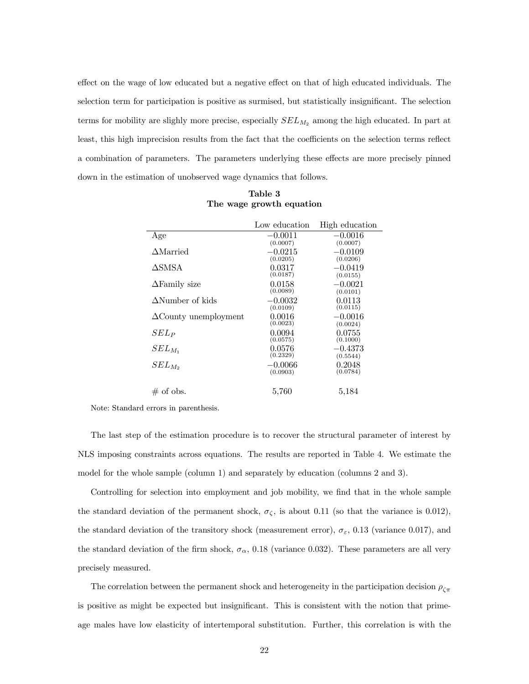effect on the wage of low educated but a negative effect on that of high educated individuals. The selection term for participation is positive as surmised, but statistically insignificant. The selection terms for mobility are slighly more precise, especially  $SEL_{M_2}$  among the high educated. In part at least, this high imprecision results from the fact that the coefficients on the selection terms reflect a combination of parameters. The parameters underlying these effects are more precisely pinned down in the estimation of unobserved wage dynamics that follows.

|                              | Low education         | High education        |
|------------------------------|-----------------------|-----------------------|
| Age                          | $-0.0011$<br>(0.0007) | $-0.0016$<br>(0.0007) |
| $\Delta$ Married             | $-0.0215$<br>(0.0205) | $-0.0109$<br>(0.0206) |
| ∆SMSA                        | 0.0317<br>(0.0187)    | $-0.0419$<br>(0.0155) |
| $\Delta$ Family size         | 0.0158<br>(0.0089)    | $-0.0021$<br>(0.0101) |
| $\Delta$ Number of kids      | $-0.0032$<br>(0.0109) | 0.0113<br>(0.0115)    |
| $\Delta$ County unemployment | 0.0016<br>(0.0023)    | $-0.0016$<br>(0.0024) |
| $SEL_P$                      | 0.0094<br>(0.0575)    | 0.0755<br>(0.1000)    |
| $SEL_{M_1}$                  | 0.0576<br>(0.2329)    | $-0.4373$<br>(0.5544) |
| $SEL_{M_2}$                  | $-0.0066$<br>(0.0903) | 0.2048<br>(0.0784)    |
| $\#$ of obs.                 | 5,760                 | 5.184                 |

Table 3 The wage growth equation

Note: Standard errors in parenthesis.

The last step of the estimation procedure is to recover the structural parameter of interest by NLS imposing constraints across equations. The results are reported in Table 4. We estimate the model for the whole sample (column 1) and separately by education (columns 2 and 3).

Controlling for selection into employment and job mobility, we find that in the whole sample the standard deviation of the permanent shock,  $\sigma_{\zeta}$ , is about 0.11 (so that the variance is 0.012), the standard deviation of the transitory shock (measurement error),  $\sigma_{\varepsilon}$ , 0.13 (variance 0.017), and the standard deviation of the firm shock,  $\sigma_{\alpha}$ , 0.18 (variance 0.032). These parameters are all very precisely measured.

The correlation between the permanent shock and heterogeneity in the participation decision  $\rho_{\zeta\pi}$ is positive as might be expected but insignificant. This is consistent with the notion that primeage males have low elasticity of intertemporal substitution. Further, this correlation is with the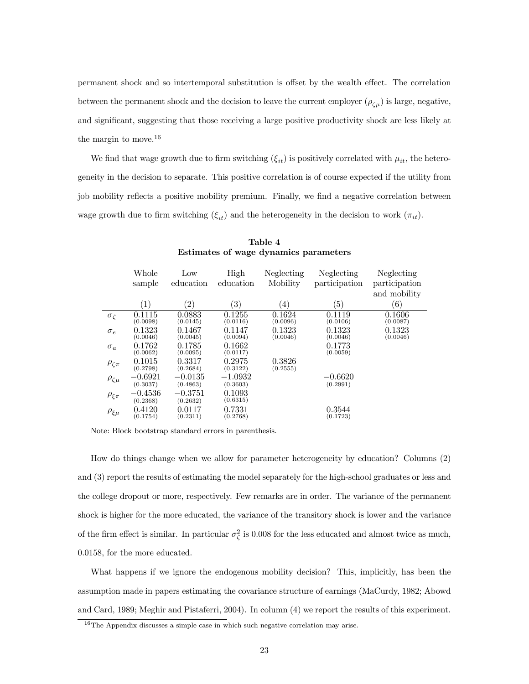permanent shock and so intertemporal substitution is offset by the wealth effect. The correlation between the permanent shock and the decision to leave the current employer  $(\rho_{\zeta\mu})$  is large, negative, and significant, suggesting that those receiving a large positive productivity shock are less likely at the margin to move.<sup>16</sup>

We find that wage growth due to firm switching  $(\xi_{it})$  is positively correlated with  $\mu_{it}$ , the heterogeneity in the decision to separate. This positive correlation is of course expected if the utility from job mobility reflects a positive mobility premium. Finally, we find a negative correlation between wage growth due to firm switching  $(\xi_{it})$  and the heterogeneity in the decision to work  $(\pi_{it})$ .

|                   | Whole                 | Low                   | High                  | Neglecting         | Neglecting            | Neglecting         |
|-------------------|-----------------------|-----------------------|-----------------------|--------------------|-----------------------|--------------------|
|                   | sample                | education             | education             | Mobility           | participation         | participation      |
|                   |                       |                       |                       |                    |                       | and mobility       |
|                   | (1)                   | $\left( 2\right)$     | $\left( 3\right)$     | $\left(4\right)$   | $\left(5\right)$      | (6)                |
| $\sigma_{\zeta}$  | 0.1115<br>(0.0098)    | 0.0883<br>(0.0145)    | 0.1255<br>(0.0116)    | 0.1624<br>(0.0096) | 0.1119<br>(0.0106)    | 0.1606<br>(0.0087) |
| $\sigma_e$        | 0.1323<br>(0.0046)    | 0.1467<br>(0.0045)    | 0.1147<br>(0.0094)    | 0.1323<br>(0.0046) | 0.1323<br>(0.0046)    | 0.1323<br>(0.0046) |
| $\sigma_a$        | 0.1762<br>(0.0062)    | 0.1785<br>(0.0095)    | 0.1662<br>(0.0117)    |                    | 0.1773<br>(0.0059)    |                    |
| $\rho_{\zeta\pi}$ | 0.1015<br>(0.2798)    | 0.3317<br>(0.2684)    | 0.2975<br>(0.3122)    | 0.3826<br>(0.2555) |                       |                    |
| $\rho_{\zeta\mu}$ | $-0.6921$<br>(0.3037) | $-0.0135$<br>(0.4863) | $-1.0932$<br>(0.3603) |                    | $-0.6620$<br>(0.2991) |                    |
| $\rho_{\xi\pi}$   | $-0.4536$<br>(0.2368) | $-0.3751$<br>(0.2632) | 0.1093<br>(0.6315)    |                    |                       |                    |
| $\rho_{\xi\mu}$   | 0.4120<br>(0.1754)    | 0.0117<br>(0.2311)    | 0.7331<br>(0.2768)    |                    | 0.3544<br>(0.1723)    |                    |

Table 4 Estimates of wage dynamics parameters

Note: Block bootstrap standard errors in parenthesis.

How do things change when we allow for parameter heterogeneity by education? Columns (2) and (3) report the results of estimating the model separately for the high-school graduates or less and the college dropout or more, respectively. Few remarks are in order. The variance of the permanent shock is higher for the more educated, the variance of the transitory shock is lower and the variance of the firm effect is similar. In particular  $\sigma_{\zeta}^2$  is 0.008 for the less educated and almost twice as much, 0.0158, for the more educated.

What happens if we ignore the endogenous mobility decision? This, implicitly, has been the assumption made in papers estimating the covariance structure of earnings (MaCurdy, 1982; Abowd and Card, 1989; Meghir and Pistaferri, 2004). In column (4) we report the results of this experiment.

<sup>&</sup>lt;sup>16</sup>The Appendix discusses a simple case in which such negative correlation may arise.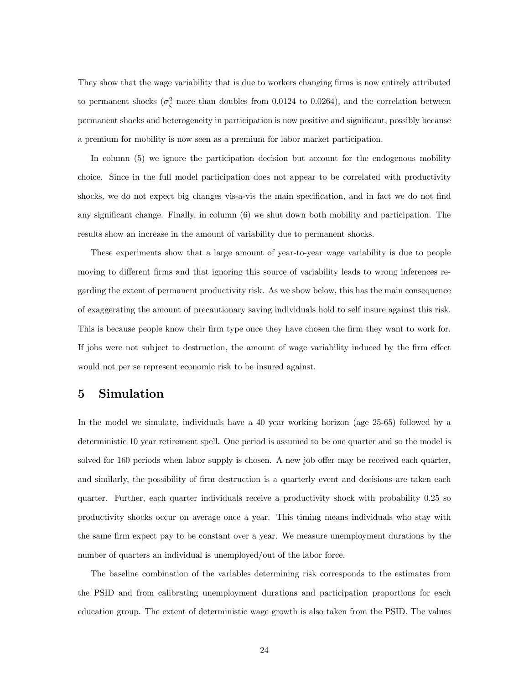They show that the wage variability that is due to workers changing firms is now entirely attributed to permanent shocks  $(\sigma_{\zeta}^2)$  more than doubles from 0.0124 to 0.0264), and the correlation between permanent shocks and heterogeneity in participation is now positive and significant, possibly because a premium for mobility is now seen as a premium for labor market participation.

In column (5) we ignore the participation decision but account for the endogenous mobility choice. Since in the full model participation does not appear to be correlated with productivity shocks, we do not expect big changes vis-a-vis the main specification, and in fact we do not find any significant change. Finally, in column (6) we shut down both mobility and participation. The results show an increase in the amount of variability due to permanent shocks.

These experiments show that a large amount of year-to-year wage variability is due to people moving to different firms and that ignoring this source of variability leads to wrong inferences regarding the extent of permanent productivity risk. As we show below, this has the main consequence of exaggerating the amount of precautionary saving individuals hold to self insure against this risk. This is because people know their firm type once they have chosen the firm they want to work for. If jobs were not subject to destruction, the amount of wage variability induced by the firm effect would not per se represent economic risk to be insured against.

### 5 Simulation

In the model we simulate, individuals have a 40 year working horizon (age 25-65) followed by a deterministic 10 year retirement spell. One period is assumed to be one quarter and so the model is solved for 160 periods when labor supply is chosen. A new job offer may be received each quarter, and similarly, the possibility of firm destruction is a quarterly event and decisions are taken each quarter. Further, each quarter individuals receive a productivity shock with probability 0.25 so productivity shocks occur on average once a year. This timing means individuals who stay with the same firm expect pay to be constant over a year. We measure unemployment durations by the number of quarters an individual is unemployed/out of the labor force.

The baseline combination of the variables determining risk corresponds to the estimates from the PSID and from calibrating unemployment durations and participation proportions for each education group. The extent of deterministic wage growth is also taken from the PSID. The values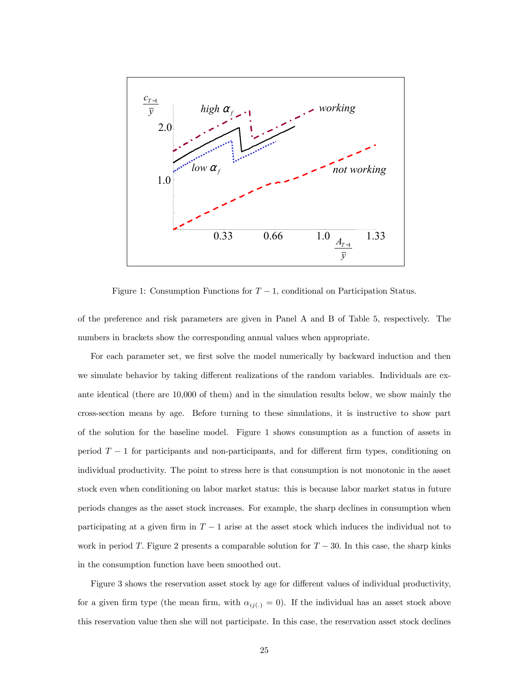

Figure 1: Consumption Functions for  $T - 1$ , conditional on Participation Status.

of the preference and risk parameters are given in Panel A and B of Table 5, respectively. The numbers in brackets show the corresponding annual values when appropriate.

For each parameter set, we first solve the model numerically by backward induction and then we simulate behavior by taking different realizations of the random variables. Individuals are exante identical (there are 10,000 of them) and in the simulation results below, we show mainly the cross-section means by age. Before turning to these simulations, it is instructive to show part of the solution for the baseline model. Figure 1 shows consumption as a function of assets in period  $T-1$  for participants and non-participants, and for different firm types, conditioning on individual productivity. The point to stress here is that consumption is not monotonic in the asset stock even when conditioning on labor market status: this is because labor market status in future periods changes as the asset stock increases. For example, the sharp declines in consumption when participating at a given firm in  $T-1$  arise at the asset stock which induces the individual not to work in period T. Figure 2 presents a comparable solution for  $T - 30$ . In this case, the sharp kinks in the consumption function have been smoothed out.

Figure 3 shows the reservation asset stock by age for different values of individual productivity, for a given firm type (the mean firm, with  $\alpha_{ij(.)} = 0$ ). If the individual has an asset stock above this reservation value then she will not participate. In this case, the reservation asset stock declines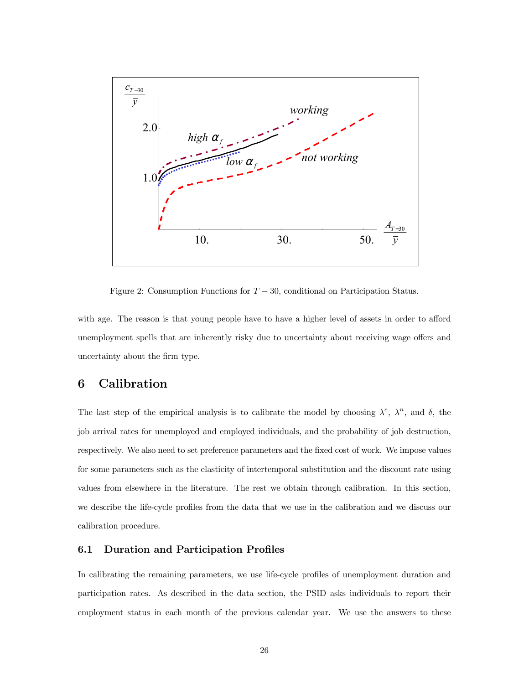

Figure 2: Consumption Functions for  $T - 30$ , conditional on Participation Status.

with age. The reason is that young people have to have a higher level of assets in order to afford unemployment spells that are inherently risky due to uncertainty about receiving wage offers and uncertainty about the firm type.

### 6 Calibration

The last step of the empirical analysis is to calibrate the model by choosing  $\lambda^e$ ,  $\lambda^n$ , and  $\delta$ , the job arrival rates for unemployed and employed individuals, and the probability of job destruction, respectively. We also need to set preference parameters and the fixed cost of work. We impose values for some parameters such as the elasticity of intertemporal substitution and the discount rate using values from elsewhere in the literature. The rest we obtain through calibration. In this section, we describe the life-cycle profiles from the data that we use in the calibration and we discuss our calibration procedure.

### 6.1 Duration and Participation Profiles

In calibrating the remaining parameters, we use life-cycle profiles of unemployment duration and participation rates. As described in the data section, the PSID asks individuals to report their employment status in each month of the previous calendar year. We use the answers to these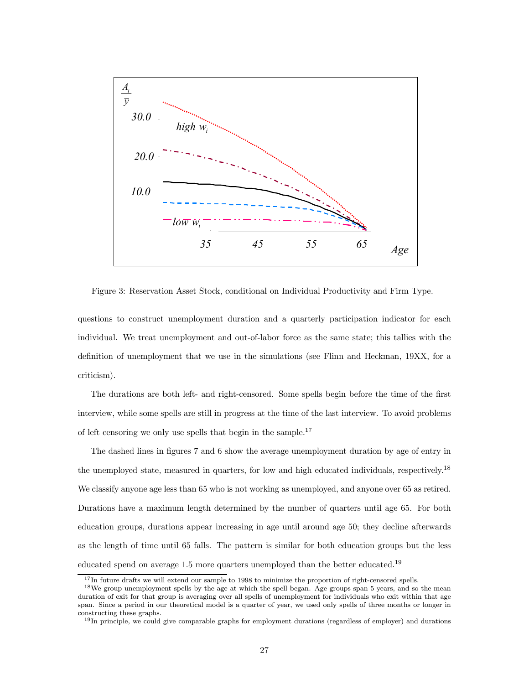

Figure 3: Reservation Asset Stock, conditional on Individual Productivity and Firm Type.

questions to construct unemployment duration and a quarterly participation indicator for each individual. We treat unemployment and out-of-labor force as the same state; this tallies with the definition of unemployment that we use in the simulations (see Flinn and Heckman, 19XX, for a criticism).

The durations are both left- and right-censored. Some spells begin before the time of the first interview, while some spells are still in progress at the time of the last interview. To avoid problems of left censoring we only use spells that begin in the sample.<sup>17</sup>

The dashed lines in figures 7 and 6 show the average unemployment duration by age of entry in the unemployed state, measured in quarters, for low and high educated individuals, respectively.<sup>18</sup> We classify anyone age less than 65 who is not working as unemployed, and anyone over 65 as retired. Durations have a maximum length determined by the number of quarters until age 65. For both education groups, durations appear increasing in age until around age 50; they decline afterwards as the length of time until 65 falls. The pattern is similar for both education groups but the less educated spend on average 1.5 more quarters unemployed than the better educated.<sup>19</sup>

<sup>&</sup>lt;sup>17</sup>In future drafts we will extend our sample to 1998 to minimize the proportion of right-censored spells.

<sup>&</sup>lt;sup>18</sup>We group unemployment spells by the age at which the spell began. Age groups span 5 years, and so the mean duration of exit for that group is averaging over all spells of unemployment for individuals who exit within that age span. Since a period in our theoretical model is a quarter of year, we used only spells of three months or longer in constructing these graphs.

<sup>&</sup>lt;sup>19</sup>In principle, we could give comparable graphs for employment durations (regardless of employer) and durations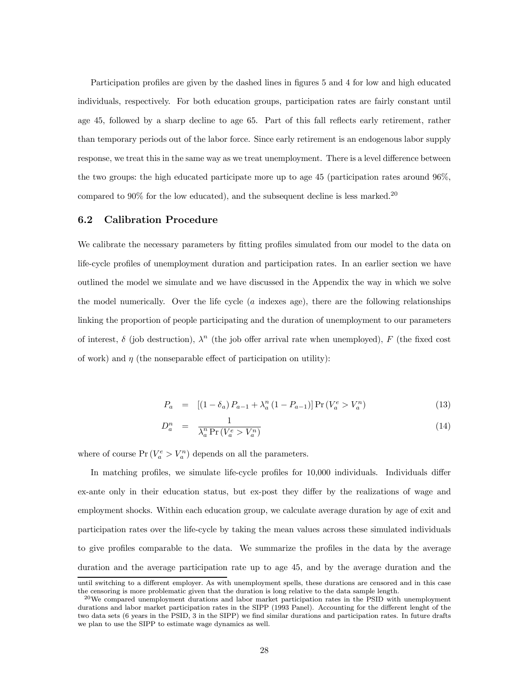Participation profiles are given by the dashed lines in figures 5 and 4 for low and high educated individuals, respectively. For both education groups, participation rates are fairly constant until age 45, followed by a sharp decline to age 65. Part of this fall reflects early retirement, rather than temporary periods out of the labor force. Since early retirement is an endogenous labor supply response, we treat this in the same way as we treat unemployment. There is a level difference between the two groups: the high educated participate more up to age 45 (participation rates around 96%, compared to 90% for the low educated), and the subsequent decline is less marked.<sup>20</sup>

#### 6.2 Calibration Procedure

We calibrate the necessary parameters by fitting profiles simulated from our model to the data on life-cycle profiles of unemployment duration and participation rates. In an earlier section we have outlined the model we simulate and we have discussed in the Appendix the way in which we solve the model numerically. Over the life cycle  $(a \text{ indexes age})$ , there are the following relationships linking the proportion of people participating and the duration of unemployment to our parameters of interest,  $\delta$  (job destruction),  $\lambda^n$  (the job offer arrival rate when unemployed), F (the fixed cost of work) and  $\eta$  (the nonseparable effect of participation on utility):

$$
P_a = [(1 - \delta_a) P_{a-1} + \lambda_a^n (1 - P_{a-1})] Pr (V_a^e > V_a^n)
$$
\n(13)

$$
D_a^n = \frac{1}{\lambda_a^n \Pr(V_a^e > V_a^n)}
$$
\n
$$
(14)
$$

where of course  $Pr(V_a^e > V_a^n)$  depends on all the parameters.

In matching profiles, we simulate life-cycle profiles for 10,000 individuals. Individuals differ ex-ante only in their education status, but ex-post they differ by the realizations of wage and employment shocks. Within each education group, we calculate average duration by age of exit and participation rates over the life-cycle by taking the mean values across these simulated individuals to give profiles comparable to the data. We summarize the profiles in the data by the average duration and the average participation rate up to age 45, and by the average duration and the

until switching to a different employer. As with unemployment spells, these durations are censored and in this case the censoring is more problematic given that the duration is long relative to the data sample length.

 $^{20}$ We compared unemployment durations and labor market participation rates in the PSID with unemployment durations and labor market participation rates in the SIPP (1993 Panel). Accounting for the different lenght of the two data sets (6 years in the PSID, 3 in the SIPP) we find similar durations and participation rates. In future drafts we plan to use the SIPP to estimate wage dynamics as well.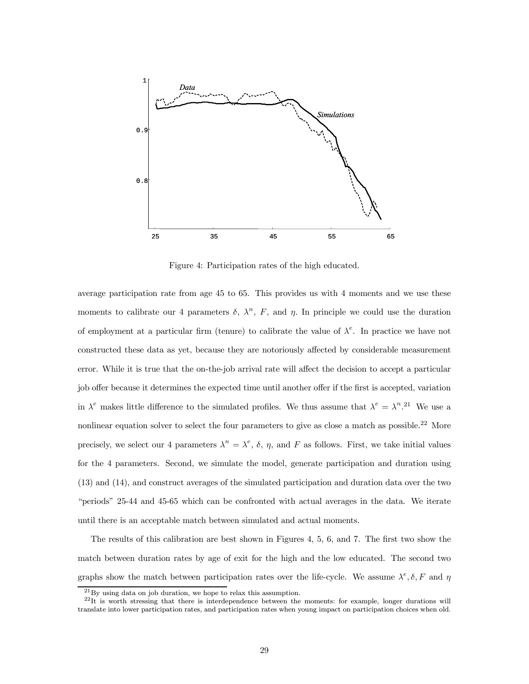

Figure 4: Participation rates of the high educated.

average participation rate from age 45 to 65. This provides us with 4 moments and we use these moments to calibrate our 4 parameters  $\delta$ ,  $\lambda^n$ , F, and  $\eta$ . In principle we could use the duration of employment at a particular firm (tenure) to calibrate the value of  $\lambda^e$ . In practice we have not constructed these data as yet, because they are notoriously affected by considerable measurement error. While it is true that the on-the-job arrival rate will affect the decision to accept a particular job offer because it determines the expected time until another offer if the first is accepted, variation in  $\lambda^e$  makes little difference to the simulated profiles. We thus assume that  $\lambda^e = \lambda^n$ .<sup>21</sup> We use a nonlinear equation solver to select the four parameters to give as close a match as possible.<sup>22</sup> More precisely, we select our 4 parameters  $\lambda^n = \lambda^e$ ,  $\delta$ ,  $\eta$ , and F as follows. First, we take initial values for the 4 parameters. Second, we simulate the model, generate participation and duration using (13) and (14), and construct averages of the simulated participation and duration data over the two "periods" 25-44 and 45-65 which can be confronted with actual averages in the data. We iterate until there is an acceptable match between simulated and actual moments.

The results of this calibration are best shown in Figures 4, 5, 6, and 7. The first two show the match between duration rates by age of exit for the high and the low educated. The second two graphs show the match between participation rates over the life-cycle. We assume  $\lambda^e, \delta, F$  and  $\eta$ 

 $^{21}$ By using data on job duration, we hope to relax this assumption.

 $^{22}$ It is worth stressing that there is interdependence between the moments: for example, longer durations will translate into lower participation rates, and participation rates when young impact on participation choices when old.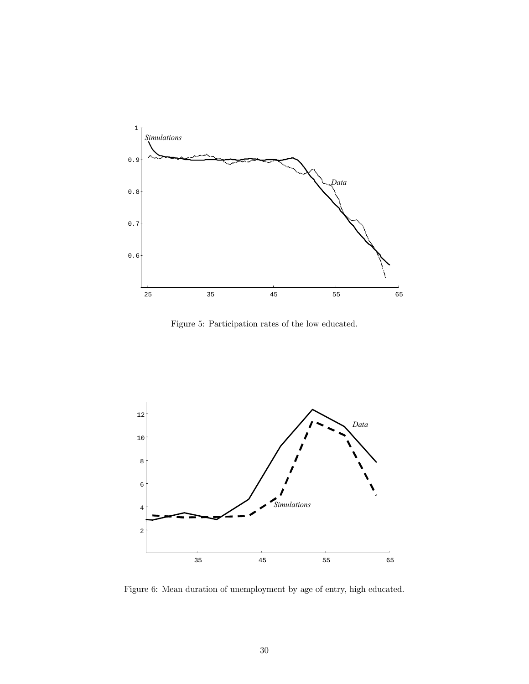

Figure 5: Participation rates of the low educated.



Figure 6: Mean duration of unemployment by age of entry, high educated.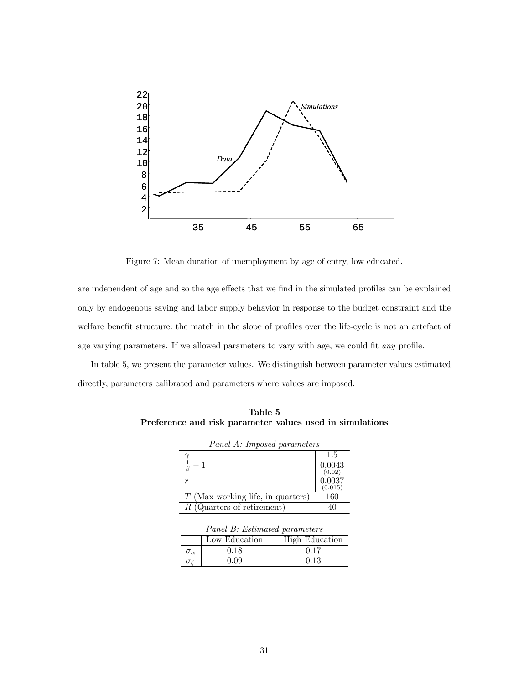

Figure 7: Mean duration of unemployment by age of entry, low educated.

are independent of age and so the age effects that we find in the simulated profiles can be explained only by endogenous saving and labor supply behavior in response to the budget constraint and the welfare benefit structure: the match in the slope of profiles over the life-cycle is not an artefact of age varying parameters. If we allowed parameters to vary with age, we could fit *any* profile.

In table 5, we present the parameter values. We distinguish between parameter values estimated directly, parameters calibrated and parameters where values are imposed.

| Panel A: Imposed parameters |                                     |                             |  |  |  |
|-----------------------------|-------------------------------------|-----------------------------|--|--|--|
|                             |                                     | 1.5                         |  |  |  |
|                             |                                     |                             |  |  |  |
| $\boldsymbol{r}$            |                                     | (0.02)<br>0.0037<br>(0.015) |  |  |  |
|                             | $T$ (Max working life, in quarters) | 160                         |  |  |  |
|                             | $R$ (Quarters of retirement)        | 40                          |  |  |  |
|                             | Panel B: Estimated parameters       |                             |  |  |  |
|                             | Low Education                       | High Education              |  |  |  |
| $\sigma_{\alpha}$           | 0.18                                | 0.17                        |  |  |  |
| $\sigma_{\ell}$             | 0.09                                | 0.13                        |  |  |  |

Table 5 Preference and risk parameter values used in simulations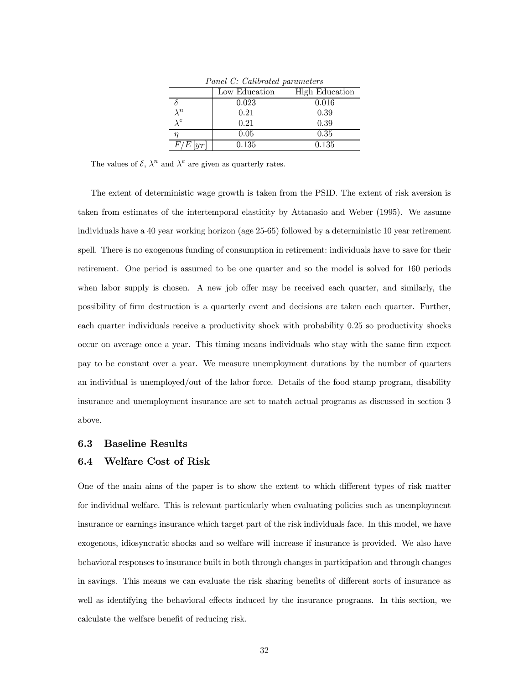| Panet C: Catiorated parameters |               |                |  |  |  |
|--------------------------------|---------------|----------------|--|--|--|
|                                | Low Education | High Education |  |  |  |
|                                | 0.023         | 0.016          |  |  |  |
| $\lambda^n$                    | 0.21          | 0.39           |  |  |  |
| $\lambda^e$                    | 0.21          | 0.39           |  |  |  |
|                                | 0.05          | 0.35           |  |  |  |
| $F_L$<br>$ y_T $               | 0.135         | 0.135          |  |  |  |

 $PQ \cap C$ 

The values of  $\delta$ ,  $\lambda^n$  and  $\lambda^e$  are given as quarterly rates.

The extent of deterministic wage growth is taken from the PSID. The extent of risk aversion is taken from estimates of the intertemporal elasticity by Attanasio and Weber (1995). We assume individuals have a 40 year working horizon (age 25-65) followed by a deterministic 10 year retirement spell. There is no exogenous funding of consumption in retirement: individuals have to save for their retirement. One period is assumed to be one quarter and so the model is solved for 160 periods when labor supply is chosen. A new job offer may be received each quarter, and similarly, the possibility of firm destruction is a quarterly event and decisions are taken each quarter. Further, each quarter individuals receive a productivity shock with probability 0.25 so productivity shocks occur on average once a year. This timing means individuals who stay with the same firm expect pay to be constant over a year. We measure unemployment durations by the number of quarters an individual is unemployed/out of the labor force. Details of the food stamp program, disability insurance and unemployment insurance are set to match actual programs as discussed in section 3 above.

### 6.3 Baseline Results

### 6.4 Welfare Cost of Risk

One of the main aims of the paper is to show the extent to which different types of risk matter for individual welfare. This is relevant particularly when evaluating policies such as unemployment insurance or earnings insurance which target part of the risk individuals face. In this model, we have exogenous, idiosyncratic shocks and so welfare will increase if insurance is provided. We also have behavioral responses to insurance built in both through changes in participation and through changes in savings. This means we can evaluate the risk sharing benefits of different sorts of insurance as well as identifying the behavioral effects induced by the insurance programs. In this section, we calculate the welfare benefit of reducing risk.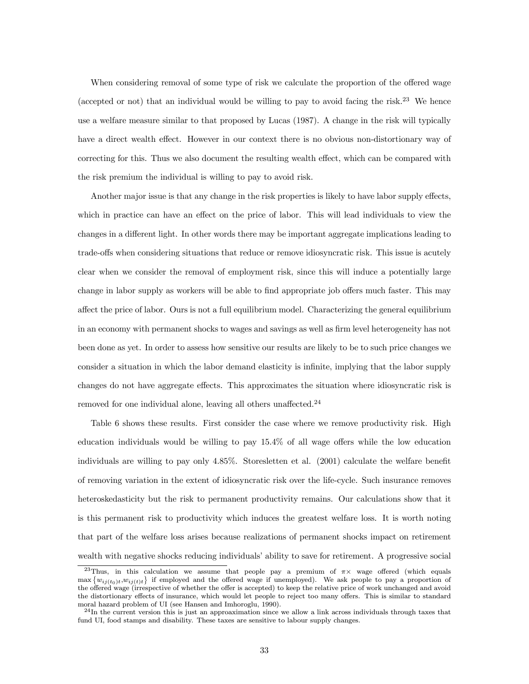When considering removal of some type of risk we calculate the proportion of the offered wage (accepted or not) that an individual would be willing to pay to avoid facing the risk.<sup>23</sup> We hence use a welfare measure similar to that proposed by Lucas (1987). A change in the risk will typically have a direct wealth effect. However in our context there is no obvious non-distortionary way of correcting for this. Thus we also document the resulting wealth effect, which can be compared with the risk premium the individual is willing to pay to avoid risk.

Another major issue is that any change in the risk properties is likely to have labor supply effects, which in practice can have an effect on the price of labor. This will lead individuals to view the changes in a different light. In other words there may be important aggregate implications leading to trade-offs when considering situations that reduce or remove idiosyncratic risk. This issue is acutely clear when we consider the removal of employment risk, since this will induce a potentially large change in labor supply as workers will be able to find appropriate job offers much faster. This may affect the price of labor. Ours is not a full equilibrium model. Characterizing the general equilibrium in an economy with permanent shocks to wages and savings as well as firm level heterogeneity has not been done as yet. In order to assess how sensitive our results are likely to be to such price changes we consider a situation in which the labor demand elasticity is infinite, implying that the labor supply changes do not have aggregate effects. This approximates the situation where idiosyncratic risk is removed for one individual alone, leaving all others unaffected.<sup>24</sup>

Table 6 shows these results. First consider the case where we remove productivity risk. High education individuals would be willing to pay 15.4% of all wage offers while the low education individuals are willing to pay only 4.85%. Storesletten et al. (2001) calculate the welfare benefit of removing variation in the extent of idiosyncratic risk over the life-cycle. Such insurance removes heteroskedasticity but the risk to permanent productivity remains. Our calculations show that it is this permanent risk to productivity which induces the greatest welfare loss. It is worth noting that part of the welfare loss arises because realizations of permanent shocks impact on retirement wealth with negative shocks reducing individuals' ability to save for retirement. A progressive social

<sup>&</sup>lt;sup>23</sup>Thus, in this calculation we assume that people pay a premium of  $\pi$  wage offered (which equals  $\max\{w_{ij(t_0)t},w_{ij(t)t}\}\$  if employed and the offered wage if unemployed). We ask people to pay a proportion of the offered wage (irrespective of whether the offer is accepted) to keep the relative price of work unchanged and avoid the distortionary effects of insurance, which would let people to reject too many offers. This is similar to standard moral hazard problem of UI (see Hansen and Imhoroglu, 1990).

 $^{24}$ In the current version this is just an approaximation since we allow a link across individuals through taxes that fund UI, food stamps and disability. These taxes are sensitive to labour supply changes.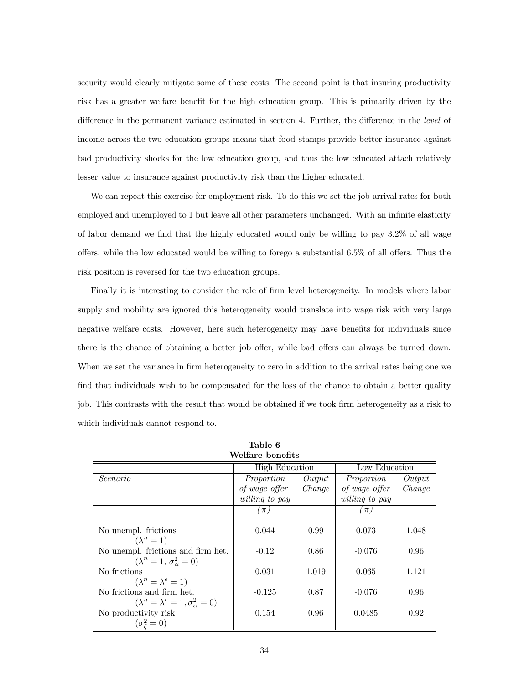security would clearly mitigate some of these costs. The second point is that insuring productivity risk has a greater welfare benefit for the high education group. This is primarily driven by the difference in the permanent variance estimated in section 4. Further, the difference in the level of income across the two education groups means that food stamps provide better insurance against bad productivity shocks for the low education group, and thus the low educated attach relatively lesser value to insurance against productivity risk than the higher educated.

We can repeat this exercise for employment risk. To do this we set the job arrival rates for both employed and unemployed to 1 but leave all other parameters unchanged. With an infinite elasticity of labor demand we find that the highly educated would only be willing to pay 3.2% of all wage offers, while the low educated would be willing to forego a substantial 6.5% of all offers. Thus the risk position is reversed for the two education groups.

Finally it is interesting to consider the role of firm level heterogeneity. In models where labor supply and mobility are ignored this heterogeneity would translate into wage risk with very large negative welfare costs. However, here such heterogeneity may have benefits for individuals since there is the chance of obtaining a better job offer, while bad offers can always be turned down. When we set the variance in firm heterogeneity to zero in addition to the arrival rates being one we find that individuals wish to be compensated for the loss of the chance to obtain a better quality job. This contrasts with the result that would be obtained if we took firm heterogeneity as a risk to which individuals cannot respond to.

| Welfare benefits                                                               |                       |        |                       |        |  |  |
|--------------------------------------------------------------------------------|-----------------------|--------|-----------------------|--------|--|--|
|                                                                                | <b>High Education</b> |        | Low Education         |        |  |  |
| Scenario                                                                       | Proportion            | Output | Proportion            | Output |  |  |
|                                                                                | of wage offer         | Change | of wage offer         | Change |  |  |
|                                                                                | <i>willing to pay</i> |        | <i>willing to pay</i> |        |  |  |
|                                                                                | $\pi$ )               |        | $\pi$                 |        |  |  |
| No unempl. frictions                                                           | 0.044                 | 0.99   | 0.073                 | 1.048  |  |  |
| $(\lambda^n=1)$                                                                |                       |        |                       |        |  |  |
| No unempl. frictions and firm het.<br>$(\lambda^n = 1, \sigma^2_{\alpha} = 0)$ | $-0.12$               | 0.86   | $-0.076$              | 0.96   |  |  |
| No frictions                                                                   | 0.031                 | 1.019  | 0.065                 | 1.121  |  |  |
| $(\lambda^n = \lambda^e = 1)$                                                  |                       |        |                       |        |  |  |
| No frictions and firm het.                                                     | $-0.125$              | 0.87   | $-0.076$              | 0.96   |  |  |
| $(\lambda^n = \lambda^e = 1, \sigma^2_{\alpha} = 0)$                           |                       |        |                       |        |  |  |
| No productivity risk                                                           | 0.154                 | 0.96   | 0.0485                | 0.92   |  |  |
| $(\sigma^2_{\epsilon}=0)$                                                      |                       |        |                       |        |  |  |

Table 6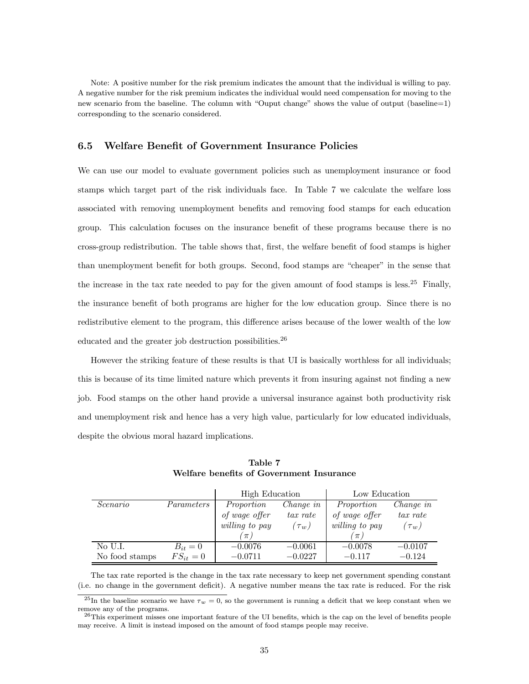Note: A positive number for the risk premium indicates the amount that the individual is willing to pay. A negative number for the risk premium indicates the individual would need compensation for moving to the new scenario from the baseline. The column with "Ouput change" shows the value of output (baseline=1) corresponding to the scenario considered.

### 6.5 Welfare Benefit of Government Insurance Policies

We can use our model to evaluate government policies such as unemployment insurance or food stamps which target part of the risk individuals face. In Table 7 we calculate the welfare loss associated with removing unemployment benefits and removing food stamps for each education group. This calculation focuses on the insurance benefit of these programs because there is no cross-group redistribution. The table shows that, first, the welfare benefit of food stamps is higher than unemployment benefit for both groups. Second, food stamps are "cheaper" in the sense that the increase in the tax rate needed to pay for the given amount of food stamps is less.<sup>25</sup> Finally, the insurance benefit of both programs are higher for the low education group. Since there is no redistributive element to the program, this difference arises because of the lower wealth of the low educated and the greater job destruction possibilities.<sup>26</sup>

However the striking feature of these results is that UI is basically worthless for all individuals; this is because of its time limited nature which prevents it from insuring against not finding a new job. Food stamps on the other hand provide a universal insurance against both productivity risk and unemployment risk and hence has a very high value, particularly for low educated individuals, despite the obvious moral hazard implications.

|                |               | <b>High Education</b> |             | Low Education  |            |
|----------------|---------------|-----------------------|-------------|----------------|------------|
| Scenario       | Parameters    | Proportion            | Change in   | Proportion     | Change in  |
|                |               | of wage offer         | $tax\ rate$ | of wage offer  | tax rate   |
|                |               | willing to pay        | $(\tau_w)$  | willing to pay | $(\tau_w)$ |
|                |               | $\pi$ .               |             | $\pi$          |            |
| No U.I.        | $B_{it}=0$    | $-0.0076$             | $-0.0061$   | $-0.0078$      | $-0.0107$  |
| No food stamps | $FS_{it} = 0$ | $-0.0711$             | $-0.0227$   | $-0.117$       | $-0.124$   |

Table 7 Welfare benefits of Government Insurance

The tax rate reported is the change in the tax rate necessary to keep net government spending constant (i.e. no change in the government deficit). A negative number means the tax rate is reduced. For the risk

<sup>&</sup>lt;sup>25</sup>In the baseline scenario we have  $\tau_w = 0$ , so the government is running a deficit that we keep constant when we remove any of the programs.

 $^{26}$ This experiment misses one important feature of the UI benefits, which is the cap on the level of benefits people may receive. A limit is instead imposed on the amount of food stamps people may receive.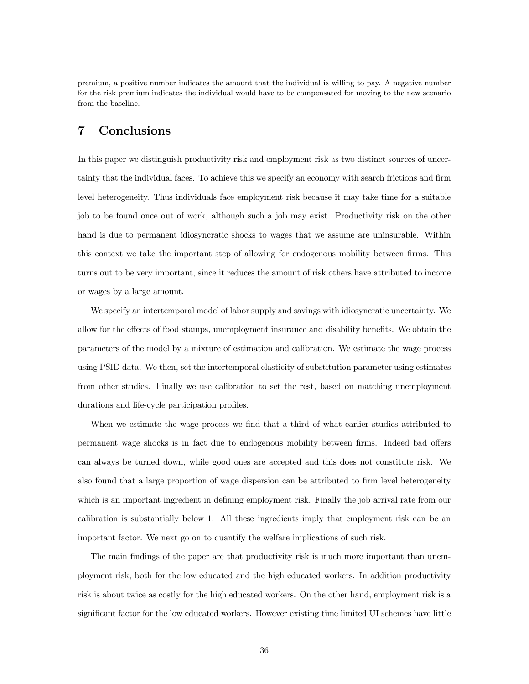premium, a positive number indicates the amount that the individual is willing to pay. A negative number for the risk premium indicates the individual would have to be compensated for moving to the new scenario from the baseline.

### 7 Conclusions

In this paper we distinguish productivity risk and employment risk as two distinct sources of uncertainty that the individual faces. To achieve this we specify an economy with search frictions and firm level heterogeneity. Thus individuals face employment risk because it may take time for a suitable job to be found once out of work, although such a job may exist. Productivity risk on the other hand is due to permanent idiosyncratic shocks to wages that we assume are uninsurable. Within this context we take the important step of allowing for endogenous mobility between firms. This turns out to be very important, since it reduces the amount of risk others have attributed to income or wages by a large amount.

We specify an intertemporal model of labor supply and savings with idiosyncratic uncertainty. We allow for the effects of food stamps, unemployment insurance and disability benefits. We obtain the parameters of the model by a mixture of estimation and calibration. We estimate the wage process using PSID data. We then, set the intertemporal elasticity of substitution parameter using estimates from other studies. Finally we use calibration to set the rest, based on matching unemployment durations and life-cycle participation profiles.

When we estimate the wage process we find that a third of what earlier studies attributed to permanent wage shocks is in fact due to endogenous mobility between firms. Indeed bad offers can always be turned down, while good ones are accepted and this does not constitute risk. We also found that a large proportion of wage dispersion can be attributed to firm level heterogeneity which is an important ingredient in defining employment risk. Finally the job arrival rate from our calibration is substantially below 1. All these ingredients imply that employment risk can be an important factor. We next go on to quantify the welfare implications of such risk.

The main findings of the paper are that productivity risk is much more important than unemployment risk, both for the low educated and the high educated workers. In addition productivity risk is about twice as costly for the high educated workers. On the other hand, employment risk is a significant factor for the low educated workers. However existing time limited UI schemes have little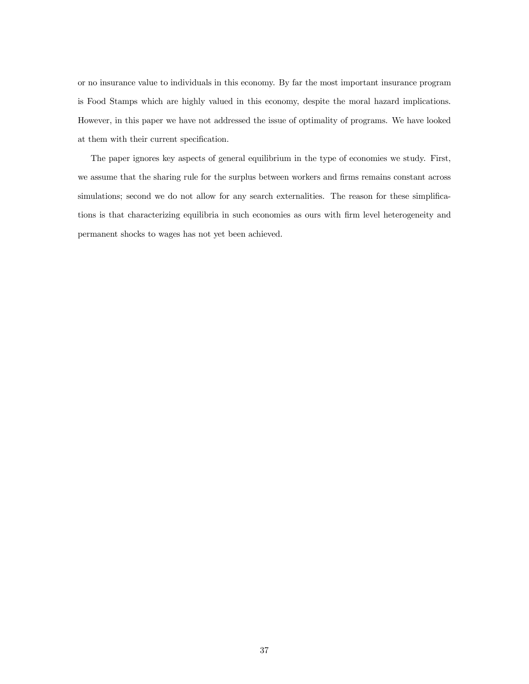or no insurance value to individuals in this economy. By far the most important insurance program is Food Stamps which are highly valued in this economy, despite the moral hazard implications. However, in this paper we have not addressed the issue of optimality of programs. We have looked at them with their current specification.

The paper ignores key aspects of general equilibrium in the type of economies we study. First, we assume that the sharing rule for the surplus between workers and firms remains constant across simulations; second we do not allow for any search externalities. The reason for these simplifications is that characterizing equilibria in such economies as ours with firm level heterogeneity and permanent shocks to wages has not yet been achieved.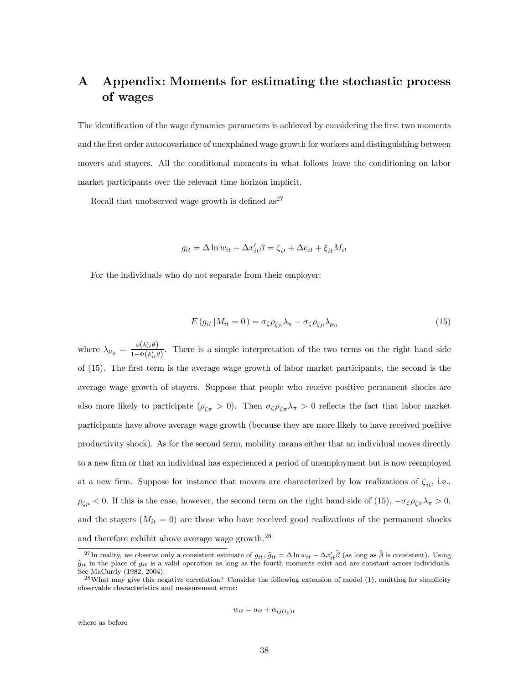# A Appendix: Moments for estimating the stochastic process of wages

The identification of the wage dynamics parameters is achieved by considering the first two moments and the first order autocovariance of unexplained wage growth for workers and distinguishing between movers and stayers. All the conditional moments in what follows leave the conditioning on labor market participants over the relevant time horizon implicit.

Recall that unobserved wage growth is defined  $as^{27}$ 

 $g_{it} = \Delta \ln w_{it} - \Delta x'_{it} \beta = \zeta_{it} + \Delta e_{it} + \xi_{it} M_{it}$ 

For the individuals who do not separate from their employer:

$$
E(g_{it}|M_{it}=0) = \sigma_{\zeta}\rho_{\zeta\pi}\lambda_{\pi} - \sigma_{\zeta}\rho_{\zeta\mu}\lambda_{\mu_0}
$$
\n(15)

where  $\lambda_{\mu_0} = \frac{\phi(k'_{it}\theta)}{1-\Phi(k',\theta)}$  $\frac{\varphi(w_{it})}{1-\Phi(k'_{it}\theta)}$ . There is a simple interpretation of the two terms on the right hand side of (15). The first term is the average wage growth of labor market participants, the second is the average wage growth of stayers. Suppose that people who receive positive permanent shocks are also more likely to participate  $(\rho_{\zeta\pi} > 0)$ . Then  $\sigma_{\zeta}\rho_{\zeta\pi}\lambda_{\pi} > 0$  reflects the fact that labor market participants have above average wage growth (because they are more likely to have received positive productivity shock). As for the second term, mobility means either that an individual moves directly to a new firm or that an individual has experienced a period of unemployment but is now reemployed at a new firm. Suppose for instance that movers are characterized by low realizations of  $\zeta_{it}$ , i.e.,  $\rho_{\zeta\mu}$  < 0. If this is the case, however, the second term on the right hand side of (15),  $-\sigma_{\zeta}\rho_{\zeta\pi}\lambda_{\pi} > 0$ , and the stayers  $(M_{it} = 0)$  are those who have received good realizations of the permanent shocks and therefore exhibit above average wage growth.  $^{28}$ 

$$
w_{it} = u_{it} + \alpha_{ij(t_0)t}
$$

where as before

<sup>&</sup>lt;sup>27</sup>In reality, we observe only a consistent estimate of  $g_{it}$ ,  $\hat{g}_{it} = \Delta \ln w_{it} - \Delta x'_{it} \hat{\beta}$  (as long as  $\hat{\beta}$  is consistent). Using  $\hat{g}_{it}$  in the place of  $g_{it}$  is a valid operation as long as the fourth moments exist and are constant across individuals. See MaCurdy (1982, 2004).

 $^{28}$ What may give this negative correlation? Consider the following extension of model (1), omitting for simplicity observable characteristics and measurement error: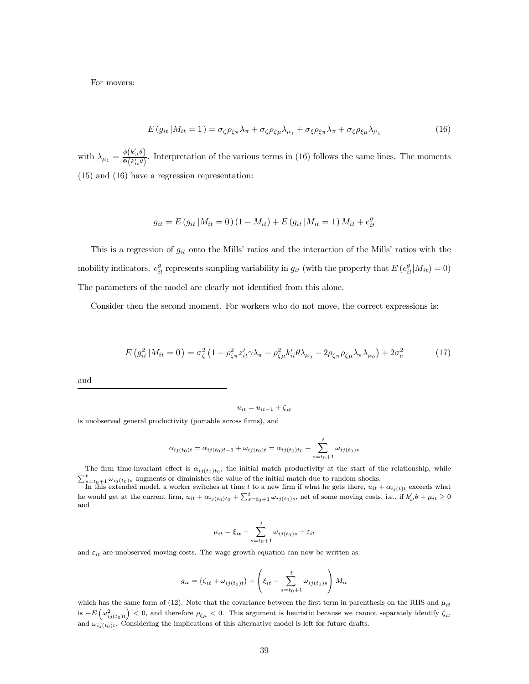For movers:

$$
E(g_{it}|M_{it}=1) = \sigma_{\zeta}\rho_{\zeta\pi}\lambda_{\pi} + \sigma_{\zeta}\rho_{\zeta\mu}\lambda_{\mu_{1}} + \sigma_{\xi}\rho_{\xi\pi}\lambda_{\pi} + \sigma_{\xi}\rho_{\xi\mu}\lambda_{\mu_{1}} \tag{16}
$$

with  $\lambda_{\mu_1} = \frac{\phi(k'_{it}\theta)}{\Phi(k'\theta)}$  $\frac{\varphi(w_{it})}{\Phi(k'_{it}\theta)}$ . Interpretation of the various terms in (16) follows the same lines. The moments (15) and (16) have a regression representation:

$$
g_{it} = E(g_{it} | M_{it} = 0) (1 - M_{it}) + E(g_{it} | M_{it} = 1) M_{it} + e_{it}^{g}
$$

This is a regression of  $g_{it}$  onto the Mills' ratios and the interaction of the Mills' ratios with the mobility indicators.  $e_{it}^g$  represents sampling variability in  $g_{it}$  (with the property that  $E(e_{it}^g|M_{it}) = 0$ ) The parameters of the model are clearly not identified from this alone.

Consider then the second moment. For workers who do not move, the correct expressions is:

$$
E(g_{it}^2|M_{it}=0) = \sigma_\zeta^2 \left(1 - \rho_{\zeta\pi}^2 z_{it}'\gamma \lambda_\pi + \rho_{\zeta\mu}^2 k_{it}'\theta \lambda_{\mu_0} - 2\rho_{\zeta\pi}\rho_{\zeta\mu} \lambda_\pi \lambda_{\mu_0}\right) + 2\sigma_e^2 \tag{17}
$$

and

 $u_{it} = u_{it-1} + \zeta_{it}$ 

is unobserved general productivity (portable across firms), and

$$
\alpha_{ij(t_0)t} = \alpha_{ij(t_0)t-1} + \omega_{ij(t_0)t} = \alpha_{ij(t_0)t_0} + \sum_{s=t_0+1}^t \omega_{ij(t_0)s}
$$

The firm time-invariant effect is  $\alpha_{ij(t_0)t_0}$ , the initial match productivity at the start of the relationship, while  $\sum_{s=t_0+1}^{t} \omega_{ij(t_0)s}$  augments or diminishes the value of the initial match due to random shocks.<br>In this extended model, a worker switches at time t to a new firm if what he gets there,  $u_{it} + \alpha_{ij(t)t}$  exceeds what

he would get at the current firm,  $u_{it} + \alpha_{ij(t_0)t_0} + \sum_{s=t_0+1}^{t} \omega_{ij(t_0)s}$ , net of some moving costs, i.e., if  $k'_{it}\theta + \mu_{it} \ge 0$ and

$$
\mu_{it} = \xi_{it} - \sum_{s=t_0+1}^t \omega_{ij(t_0)s} + \varepsilon_{it}
$$

and  $\varepsilon_{it}$  are unobserved moving costs. The wage growth equation can now be written as:

$$
g_{it} = (\zeta_{it} + \omega_{ij(t_0)t}) + \left(\xi_{it} - \sum_{s=t_0+1}^t \omega_{ij(t_0)s}\right)M_{it}
$$

which has the same form of (12). Note that the covariance between the first term in parenthesis on the RHS and  $\mu_{it}$ is  $-E\left(\omega_{ij(t_0)t}^2\right)$  < 0, and therefore  $\rho_{\zeta\mu}$  < 0. This argument is heuristic because we cannot separately identify  $\zeta_{it}$ and  $\omega_{ij(t_0)t}$ . Considering the implications of this alternative model is left for future drafts.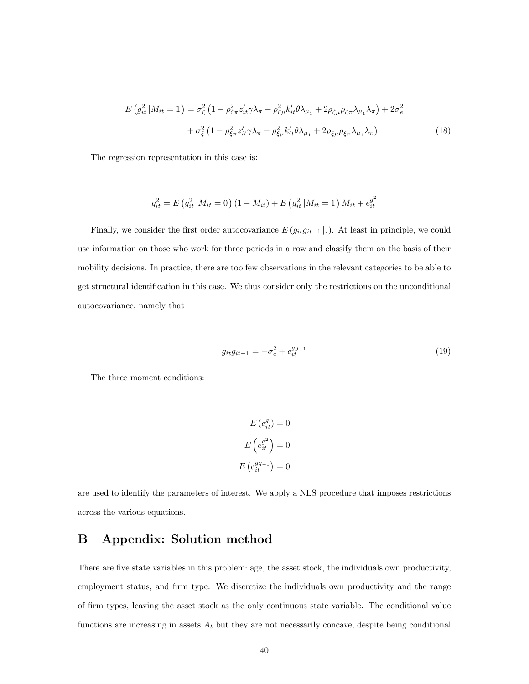$$
E(g_{it}^2|M_{it}=1) = \sigma_{\zeta}^2 \left(1 - \rho_{\zeta\pi}^2 z_{it}' \gamma \lambda_{\pi} - \rho_{\zeta\mu}^2 k_{it}' \theta \lambda_{\mu_1} + 2\rho_{\zeta\mu} \rho_{\zeta\pi} \lambda_{\mu_1} \lambda_{\pi}\right) + 2\sigma_e^2
$$

$$
+ \sigma_{\xi}^2 \left(1 - \rho_{\xi\pi}^2 z_{it}' \gamma \lambda_{\pi} - \rho_{\xi\mu}^2 k_{it}' \theta \lambda_{\mu_1} + 2\rho_{\xi\mu} \rho_{\xi\pi} \lambda_{\mu_1} \lambda_{\pi}\right)
$$
(18)

The regression representation in this case is:

$$
g_{it}^{2} = E\left(g_{it}^{2} | M_{it} = 0\right) \left(1 - M_{it}\right) + E\left(g_{it}^{2} | M_{it} = 1\right) M_{it} + e_{it}^{g^{2}}
$$

Finally, we consider the first order autocovariance  $E(g_{it}g_{it-1} |.)$ . At least in principle, we could use information on those who work for three periods in a row and classify them on the basis of their mobility decisions. In practice, there are too few observations in the relevant categories to be able to get structural identification in this case. We thus consider only the restrictions on the unconditional autocovariance, namely that

$$
g_{it}g_{it-1} = -\sigma_e^2 + e_{it}^{gg-1}
$$
 (19)

The three moment conditions:

$$
E(e_{it}^{g}) = 0
$$

$$
E(e_{it}^{g^{2}}) = 0
$$

$$
E(e_{it}^{gg_{-1}}) = 0
$$

are used to identify the parameters of interest. We apply a NLS procedure that imposes restrictions across the various equations.

# B Appendix: Solution method

There are five state variables in this problem: age, the asset stock, the individuals own productivity, employment status, and firm type. We discretize the individuals own productivity and the range of firm types, leaving the asset stock as the only continuous state variable. The conditional value functions are increasing in assets  $A_t$  but they are not necessarily concave, despite being conditional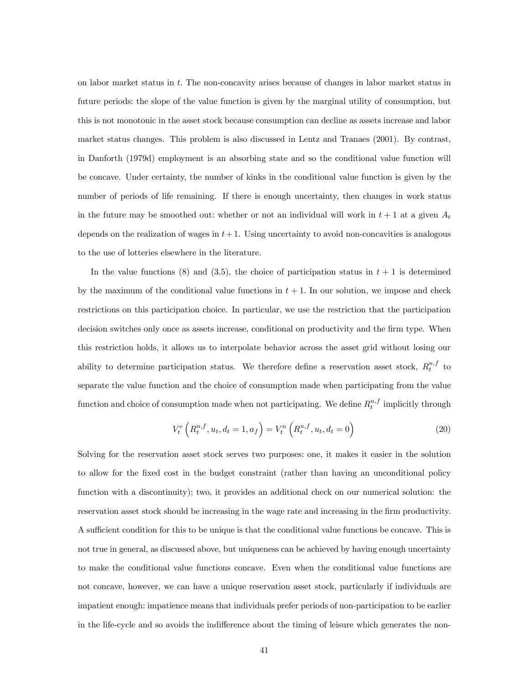on labor market status in t. The non-concavity arises because of changes in labor market status in future periods: the slope of the value function is given by the marginal utility of consumption, but this is not monotonic in the asset stock because consumption can decline as assets increase and labor market status changes. This problem is also discussed in Lentz and Tranaes (2001). By contrast, in Danforth (1979d) employment is an absorbing state and so the conditional value function will be concave. Under certainty, the number of kinks in the conditional value function is given by the number of periods of life remaining. If there is enough uncertainty, then changes in work status in the future may be smoothed out: whether or not an individual will work in  $t + 1$  at a given  $A_t$ depends on the realization of wages in  $t+1$ . Using uncertainty to avoid non-concavities is analogous to the use of lotteries elsewhere in the literature.

In the value functions (8) and (3.5), the choice of participation status in  $t + 1$  is determined by the maximum of the conditional value functions in  $t + 1$ . In our solution, we impose and check restrictions on this participation choice. In particular, we use the restriction that the participation decision switches only once as assets increase, conditional on productivity and the firm type. When this restriction holds, it allows us to interpolate behavior across the asset grid without losing our ability to determine participation status. We therefore define a reservation asset stock,  $R_t^{u,f}$  to separate the value function and the choice of consumption made when participating from the value function and choice of consumption made when not participating. We define  $R_t^{u,f}$  implicitly through

$$
V_t^e\left(R_t^{u,f}, u_t, d_t = 1, a_f\right) = V_t^n\left(R_t^{u,f}, u_t, d_t = 0\right)
$$
\n(20)

Solving for the reservation asset stock serves two purposes: one, it makes it easier in the solution to allow for the fixed cost in the budget constraint (rather than having an unconditional policy function with a discontinuity); two, it provides an additional check on our numerical solution: the reservation asset stock should be increasing in the wage rate and increasing in the firm productivity. A sufficient condition for this to be unique is that the conditional value functions be concave. This is not true in general, as discussed above, but uniqueness can be achieved by having enough uncertainty to make the conditional value functions concave. Even when the conditional value functions are not concave, however, we can have a unique reservation asset stock, particularly if individuals are impatient enough: impatience means that individuals prefer periods of non-participation to be earlier in the life-cycle and so avoids the indifference about the timing of leisure which generates the non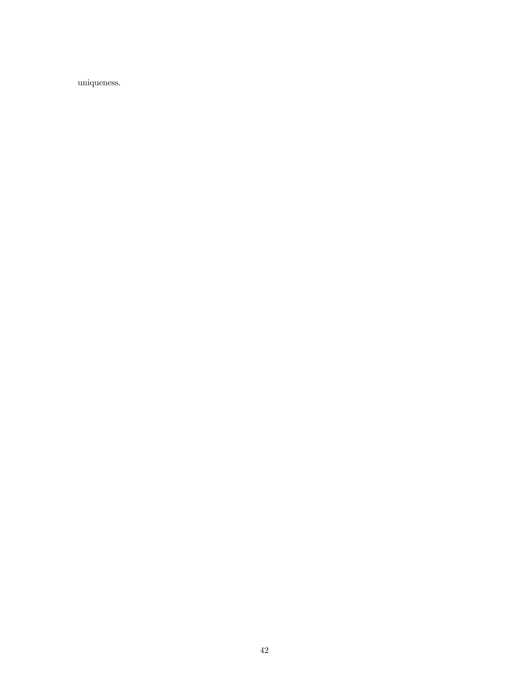uniqueness.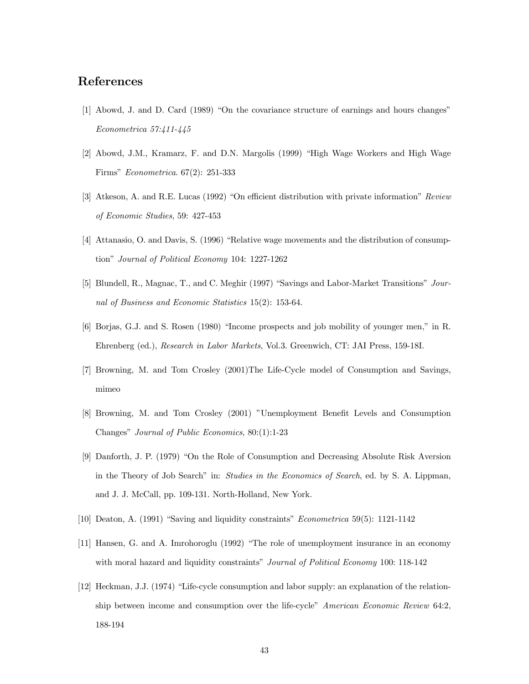## References

- [1] Abowd, J. and D. Card (1989) "On the covariance structure of earnings and hours changes" Econometrica 57:411-445
- [2] Abowd, J.M., Kramarz, F. and D.N. Margolis (1999) "High Wage Workers and High Wage Firms" Econometrica. 67(2): 251-333
- [3] Atkeson, A. and R.E. Lucas (1992) "On efficient distribution with private information" Review of Economic Studies, 59: 427-453
- [4] Attanasio, O. and Davis, S. (1996) "Relative wage movements and the distribution of consumption" Journal of Political Economy 104: 1227-1262
- [5] Blundell, R., Magnac, T., and C. Meghir (1997) "Savings and Labor-Market Transitions" Journal of Business and Economic Statistics 15(2): 153-64.
- [6] Borjas, G.J. and S. Rosen (1980) "Income prospects and job mobility of younger men," in R. Ehrenberg (ed.), Research in Labor Markets, Vol.3. Greenwich, CT: JAI Press, 159-18I.
- [7] Browning, M. and Tom Crosley (2001)The Life-Cycle model of Consumption and Savings, mimeo
- [8] Browning, M. and Tom Crosley (2001) "Unemployment Benefit Levels and Consumption Changes" Journal of Public Economics, 80:(1):1-23
- [9] Danforth, J. P. (1979) "On the Role of Consumption and Decreasing Absolute Risk Aversion in the Theory of Job Search" in: Studies in the Economics of Search, ed. by S. A. Lippman, and J. J. McCall, pp. 109-131. North-Holland, New York.
- [10] Deaton, A. (1991) "Saving and liquidity constraints" Econometrica 59(5): 1121-1142
- [11] Hansen, G. and A. Imrohoroglu (1992) "The role of unemployment insurance in an economy with moral hazard and liquidity constraints" *Journal of Political Economy* 100: 118-142
- [12] Heckman, J.J. (1974) "Life-cycle consumption and labor supply: an explanation of the relationship between income and consumption over the life-cycle" American Economic Review 64:2, 188-194